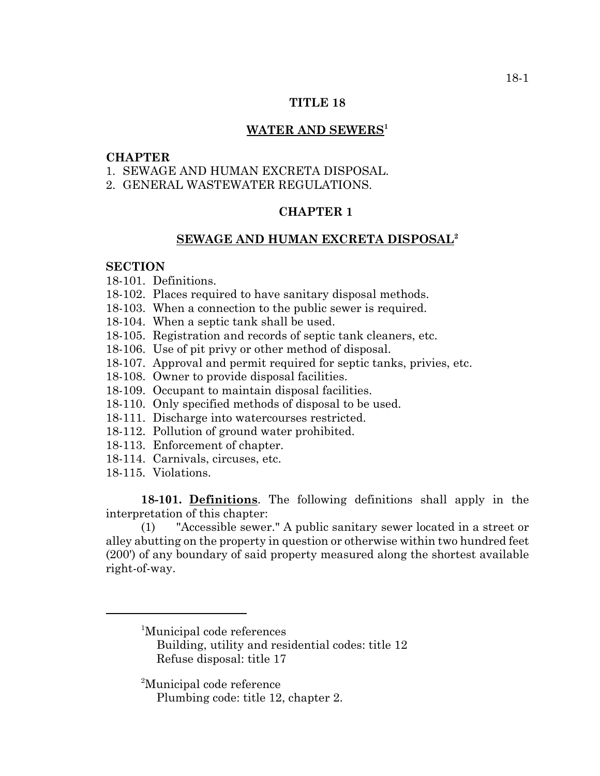### **TITLE 18**

### WATER AND SEWERS<sup>1</sup>

### **CHAPTER**

- 1. SEWAGE AND HUMAN EXCRETA DISPOSAL.
- 2. GENERAL WASTEWATER REGULATIONS.

# **CHAPTER 1**

### **SEWAGE AND HUMAN EXCRETA DISPOSAL2**

#### **SECTION**

- 18-101. Definitions.
- 18-102. Places required to have sanitary disposal methods.
- 18-103. When a connection to the public sewer is required.
- 18-104. When a septic tank shall be used.
- 18-105. Registration and records of septic tank cleaners, etc.
- 18-106. Use of pit privy or other method of disposal.
- 18-107. Approval and permit required for septic tanks, privies, etc.
- 18-108. Owner to provide disposal facilities.
- 18-109. Occupant to maintain disposal facilities.
- 18-110. Only specified methods of disposal to be used.
- 18-111. Discharge into watercourses restricted.
- 18-112. Pollution of ground water prohibited.
- 18-113. Enforcement of chapter.
- 18-114. Carnivals, circuses, etc.
- 18-115. Violations.

**18-101. Definitions**. The following definitions shall apply in the interpretation of this chapter:

(1) "Accessible sewer." A public sanitary sewer located in a street or alley abutting on the property in question or otherwise within two hundred feet (200') of any boundary of said property measured along the shortest available right-of-way.

<sup>2</sup>Municipal code reference

<sup>1</sup> Municipal code references

Building, utility and residential codes: title 12 Refuse disposal: title 17

Plumbing code: title 12, chapter 2.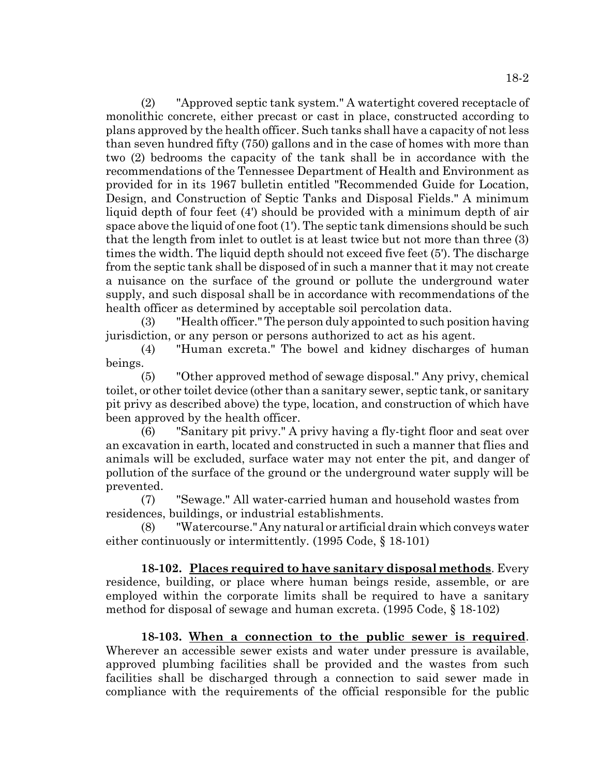(2) "Approved septic tank system." A watertight covered receptacle of monolithic concrete, either precast or cast in place, constructed according to plans approved by the health officer. Such tanks shall have a capacity of not less than seven hundred fifty (750) gallons and in the case of homes with more than two (2) bedrooms the capacity of the tank shall be in accordance with the recommendations of the Tennessee Department of Health and Environment as provided for in its 1967 bulletin entitled "Recommended Guide for Location, Design, and Construction of Septic Tanks and Disposal Fields." A minimum liquid depth of four feet (4') should be provided with a minimum depth of air space above the liquid of one foot (1'). The septic tank dimensions should be such that the length from inlet to outlet is at least twice but not more than three (3) times the width. The liquid depth should not exceed five feet (5'). The discharge from the septic tank shall be disposed of in such a manner that it may not create a nuisance on the surface of the ground or pollute the underground water supply, and such disposal shall be in accordance with recommendations of the health officer as determined by acceptable soil percolation data.

(3) "Health officer." The person duly appointed to such position having jurisdiction, or any person or persons authorized to act as his agent.

(4) "Human excreta." The bowel and kidney discharges of human beings.

(5) "Other approved method of sewage disposal." Any privy, chemical toilet, or other toilet device (other than a sanitary sewer, septic tank, or sanitary pit privy as described above) the type, location, and construction of which have been approved by the health officer.

(6) "Sanitary pit privy." A privy having a fly-tight floor and seat over an excavation in earth, located and constructed in such a manner that flies and animals will be excluded, surface water may not enter the pit, and danger of pollution of the surface of the ground or the underground water supply will be prevented.

(7) "Sewage." All water-carried human and household wastes from residences, buildings, or industrial establishments.

(8) "Watercourse." Any natural or artificial drain which conveys water either continuously or intermittently. (1995 Code, § 18-101)

**18-102. Places required to have sanitary disposal methods**. Every residence, building, or place where human beings reside, assemble, or are employed within the corporate limits shall be required to have a sanitary method for disposal of sewage and human excreta. (1995 Code, § 18-102)

**18-103. When a connection to the public sewer is required**. Wherever an accessible sewer exists and water under pressure is available, approved plumbing facilities shall be provided and the wastes from such facilities shall be discharged through a connection to said sewer made in compliance with the requirements of the official responsible for the public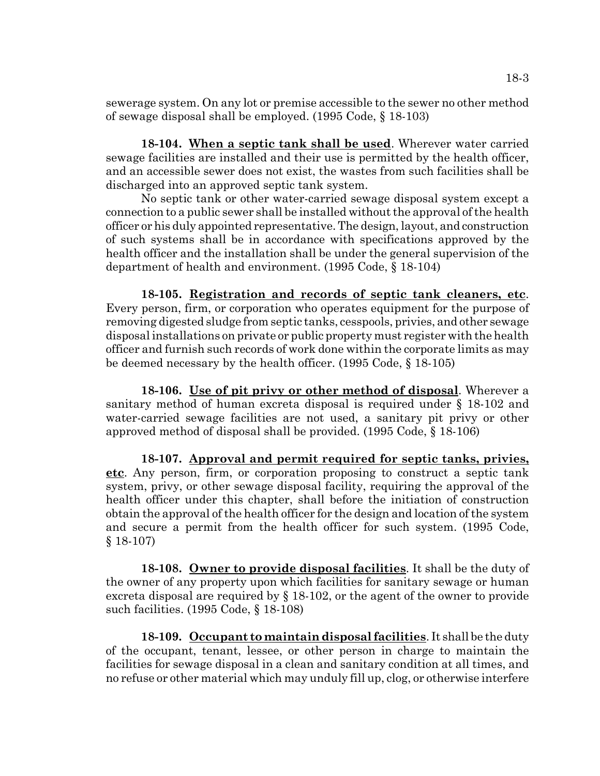sewerage system. On any lot or premise accessible to the sewer no other method of sewage disposal shall be employed. (1995 Code, § 18-103)

**18-104. When a septic tank shall be used**. Wherever water carried sewage facilities are installed and their use is permitted by the health officer, and an accessible sewer does not exist, the wastes from such facilities shall be discharged into an approved septic tank system.

No septic tank or other water-carried sewage disposal system except a connection to a public sewer shall be installed without the approval of the health officer or his duly appointed representative. The design, layout, and construction of such systems shall be in accordance with specifications approved by the health officer and the installation shall be under the general supervision of the department of health and environment. (1995 Code, § 18-104)

**18-105. Registration and records of septic tank cleaners, etc**. Every person, firm, or corporation who operates equipment for the purpose of removing digested sludge from septic tanks, cesspools, privies, and other sewage disposal installations on private or public property must register with the health officer and furnish such records of work done within the corporate limits as may be deemed necessary by the health officer. (1995 Code, § 18-105)

**18-106. Use of pit privy or other method of disposal**. Wherever a sanitary method of human excreta disposal is required under § 18-102 and water-carried sewage facilities are not used, a sanitary pit privy or other approved method of disposal shall be provided. (1995 Code, § 18-106)

**18-107. Approval and permit required for septic tanks, privies, etc**. Any person, firm, or corporation proposing to construct a septic tank system, privy, or other sewage disposal facility, requiring the approval of the health officer under this chapter, shall before the initiation of construction obtain the approval of the health officer for the design and location of the system and secure a permit from the health officer for such system. (1995 Code, § 18-107)

**18-108. Owner to provide disposal facilities**. It shall be the duty of the owner of any property upon which facilities for sanitary sewage or human excreta disposal are required by § 18-102, or the agent of the owner to provide such facilities. (1995 Code, § 18-108)

**18-109. Occupant to maintain disposal facilities**. It shall be the duty of the occupant, tenant, lessee, or other person in charge to maintain the facilities for sewage disposal in a clean and sanitary condition at all times, and no refuse or other material which may unduly fill up, clog, or otherwise interfere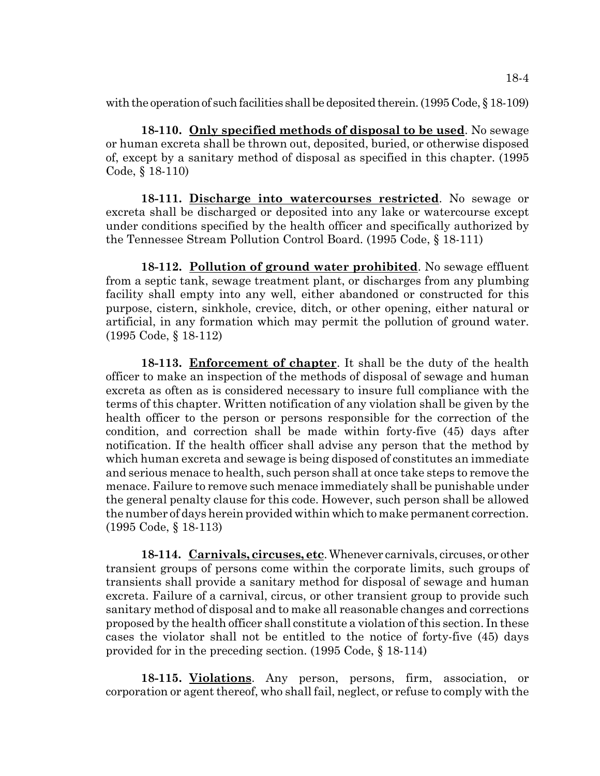with the operation of such facilities shall be deposited therein. (1995 Code, § 18-109)

**18-110. Only specified methods of disposal to be used**. No sewage or human excreta shall be thrown out, deposited, buried, or otherwise disposed of, except by a sanitary method of disposal as specified in this chapter. (1995 Code, § 18-110)

**18-111. Discharge into watercourses restricted**. No sewage or excreta shall be discharged or deposited into any lake or watercourse except under conditions specified by the health officer and specifically authorized by the Tennessee Stream Pollution Control Board. (1995 Code, § 18-111)

**18-112. Pollution of ground water prohibited**. No sewage effluent from a septic tank, sewage treatment plant, or discharges from any plumbing facility shall empty into any well, either abandoned or constructed for this purpose, cistern, sinkhole, crevice, ditch, or other opening, either natural or artificial, in any formation which may permit the pollution of ground water. (1995 Code, § 18-112)

**18-113. Enforcement of chapter**. It shall be the duty of the health officer to make an inspection of the methods of disposal of sewage and human excreta as often as is considered necessary to insure full compliance with the terms of this chapter. Written notification of any violation shall be given by the health officer to the person or persons responsible for the correction of the condition, and correction shall be made within forty-five (45) days after notification. If the health officer shall advise any person that the method by which human excreta and sewage is being disposed of constitutes an immediate and serious menace to health, such person shall at once take steps to remove the menace. Failure to remove such menace immediately shall be punishable under the general penalty clause for this code. However, such person shall be allowed the number of days herein provided within which to make permanent correction. (1995 Code, § 18-113)

**18-114. Carnivals, circuses, etc**. Whenever carnivals, circuses, or other transient groups of persons come within the corporate limits, such groups of transients shall provide a sanitary method for disposal of sewage and human excreta. Failure of a carnival, circus, or other transient group to provide such sanitary method of disposal and to make all reasonable changes and corrections proposed by the health officer shall constitute a violation of this section. In these cases the violator shall not be entitled to the notice of forty-five (45) days provided for in the preceding section. (1995 Code, § 18-114)

**18-115. Violations**. Any person, persons, firm, association, or corporation or agent thereof, who shall fail, neglect, or refuse to comply with the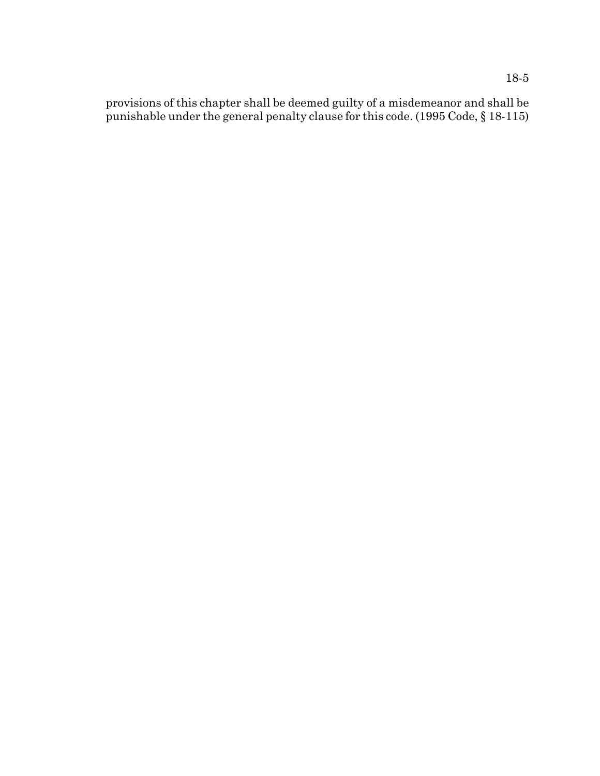provisions of this chapter shall be deemed guilty of a misdemeanor and shall be punishable under the general penalty clause for this code. (1995 Code, § 18-115)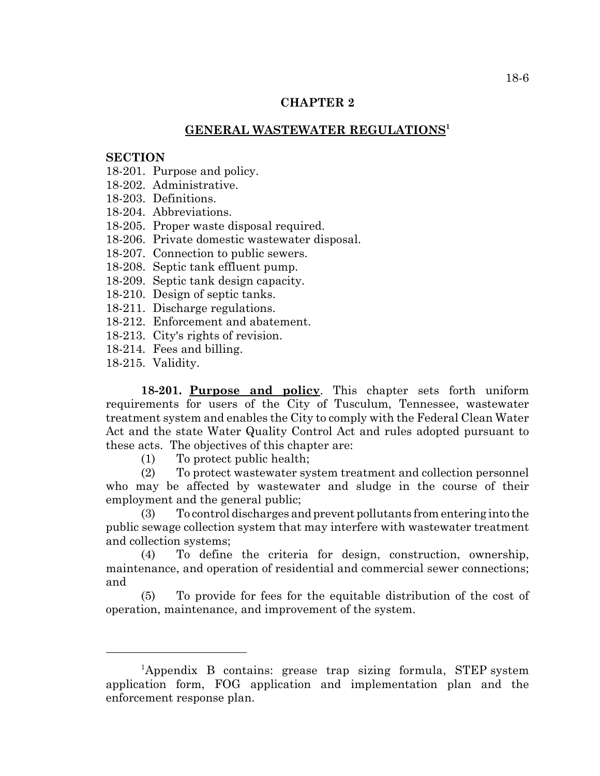# **CHAPTER 2**

# **GENERAL WASTEWATER REGULATIONS<sup>1</sup>**

### **SECTION**

18-201. Purpose and policy.

18-202. Administrative.

18-203. Definitions.

18-204. Abbreviations.

18-205. Proper waste disposal required.

18-206. Private domestic wastewater disposal.

18-207. Connection to public sewers.

18-208. Septic tank effluent pump.

18-209. Septic tank design capacity.

18-210. Design of septic tanks.

18-211. Discharge regulations.

18-212. Enforcement and abatement.

18-213. City's rights of revision.

18-214. Fees and billing.

18-215. Validity.

**18-201. Purpose and policy**. This chapter sets forth uniform requirements for users of the City of Tusculum, Tennessee, wastewater treatment system and enables the City to comply with the Federal Clean Water Act and the state Water Quality Control Act and rules adopted pursuant to these acts. The objectives of this chapter are:

(1) To protect public health;

(2) To protect wastewater system treatment and collection personnel who may be affected by wastewater and sludge in the course of their employment and the general public;

(3) To control discharges and prevent pollutants from entering into the public sewage collection system that may interfere with wastewater treatment and collection systems;

(4) To define the criteria for design, construction, ownership, maintenance, and operation of residential and commercial sewer connections; and

(5) To provide for fees for the equitable distribution of the cost of operation, maintenance, and improvement of the system.

<sup>&</sup>lt;sup>1</sup>Appendix B contains: grease trap sizing formula, STEP system application form, FOG application and implementation plan and the enforcement response plan.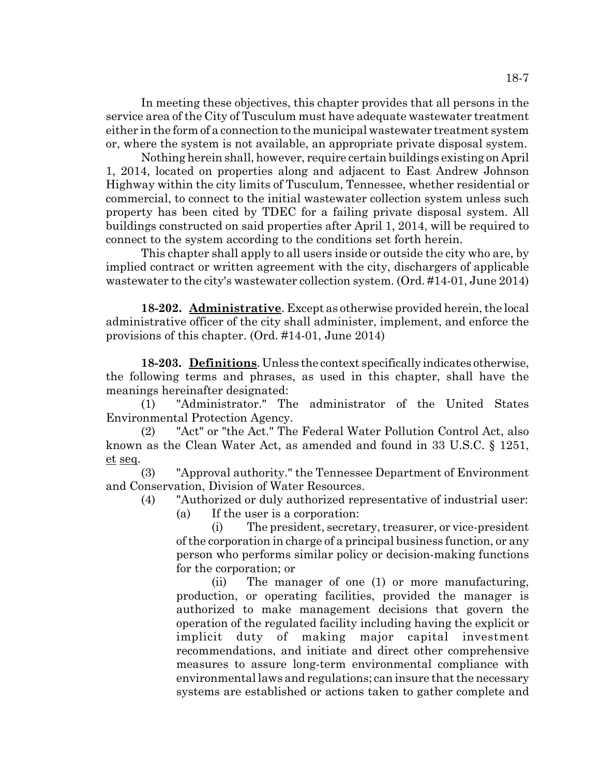In meeting these objectives, this chapter provides that all persons in the service area of the City of Tusculum must have adequate wastewater treatment either in the form of a connection to the municipal wastewater treatment system or, where the system is not available, an appropriate private disposal system.

Nothing herein shall, however, require certain buildings existing on April 1, 2014, located on properties along and adjacent to East Andrew Johnson Highway within the city limits of Tusculum, Tennessee, whether residential or commercial, to connect to the initial wastewater collection system unless such property has been cited by TDEC for a failing private disposal system. All buildings constructed on said properties after April 1, 2014, will be required to connect to the system according to the conditions set forth herein.

This chapter shall apply to all users inside or outside the city who are, by implied contract or written agreement with the city, dischargers of applicable wastewater to the city's wastewater collection system. (Ord. #14-01, June 2014)

**18-202. Administrative**. Except as otherwise provided herein, the local administrative officer of the city shall administer, implement, and enforce the provisions of this chapter. (Ord. #14-01, June 2014)

**18-203. Definitions**. Unless the context specifically indicates otherwise, the following terms and phrases, as used in this chapter, shall have the meanings hereinafter designated:

(1) "Administrator." The administrator of the United States Environmental Protection Agency.

(2) "Act" or "the Act." The Federal Water Pollution Control Act, also known as the Clean Water Act, as amended and found in 33 U.S.C. § 1251, et seq.

(3) "Approval authority." the Tennessee Department of Environment and Conservation, Division of Water Resources.

(4) "Authorized or duly authorized representative of industrial user: (a) If the user is a corporation:

(i) The president, secretary, treasurer, or vice-president of the corporation in charge of a principal business function, or any person who performs similar policy or decision-making functions for the corporation; or

(ii) The manager of one (1) or more manufacturing, production, or operating facilities, provided the manager is authorized to make management decisions that govern the operation of the regulated facility including having the explicit or implicit duty of making major capital investment recommendations, and initiate and direct other comprehensive measures to assure long-term environmental compliance with environmental laws and regulations; can insure that the necessary systems are established or actions taken to gather complete and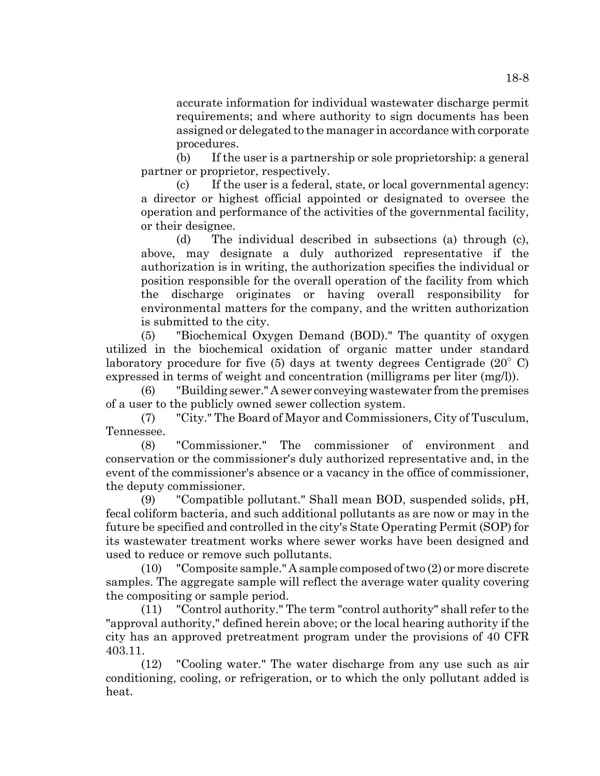accurate information for individual wastewater discharge permit requirements; and where authority to sign documents has been assigned or delegated to the manager in accordance with corporate procedures.

(b) If the user is a partnership or sole proprietorship: a general partner or proprietor, respectively.

(c) If the user is a federal, state, or local governmental agency: a director or highest official appointed or designated to oversee the operation and performance of the activities of the governmental facility, or their designee.

(d) The individual described in subsections (a) through (c), above, may designate a duly authorized representative if the authorization is in writing, the authorization specifies the individual or position responsible for the overall operation of the facility from which the discharge originates or having overall responsibility for environmental matters for the company, and the written authorization is submitted to the city.

(5) "Biochemical Oxygen Demand (BOD)." The quantity of oxygen utilized in the biochemical oxidation of organic matter under standard laboratory procedure for five  $(5)$  days at twenty degrees Centigrade  $(20^{\circ} \text{ C})$ expressed in terms of weight and concentration (milligrams per liter (mg/l)).

(6) "Building sewer." A sewer conveying wastewater from the premises of a user to the publicly owned sewer collection system.

(7) "City." The Board of Mayor and Commissioners, City of Tusculum, Tennessee.

(8) "Commissioner." The commissioner of environment and conservation or the commissioner's duly authorized representative and, in the event of the commissioner's absence or a vacancy in the office of commissioner, the deputy commissioner.

(9) "Compatible pollutant." Shall mean BOD, suspended solids, pH, fecal coliform bacteria, and such additional pollutants as are now or may in the future be specified and controlled in the city's State Operating Permit (SOP) for its wastewater treatment works where sewer works have been designed and used to reduce or remove such pollutants.

(10) "Composite sample." A sample composed of two (2) or more discrete samples. The aggregate sample will reflect the average water quality covering the compositing or sample period.

(11) "Control authority." The term "control authority" shall refer to the "approval authority," defined herein above; or the local hearing authority if the city has an approved pretreatment program under the provisions of 40 CFR 403.11.

(12) "Cooling water." The water discharge from any use such as air conditioning, cooling, or refrigeration, or to which the only pollutant added is heat.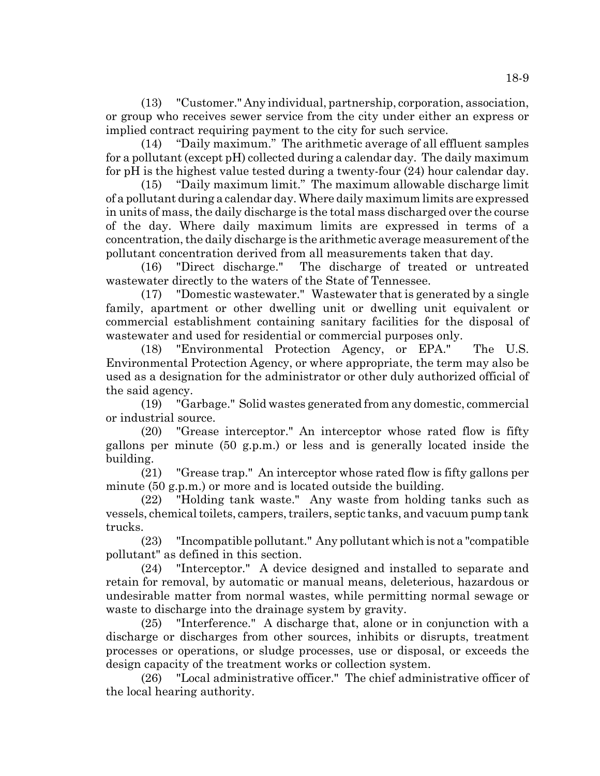(13) "Customer." Any individual, partnership, corporation, association, or group who receives sewer service from the city under either an express or implied contract requiring payment to the city for such service.

(14) "Daily maximum." The arithmetic average of all effluent samples for a pollutant (except pH) collected during a calendar day. The daily maximum for pH is the highest value tested during a twenty-four (24) hour calendar day.

(15) "Daily maximum limit." The maximum allowable discharge limit of a pollutant during a calendar day. Where daily maximum limits are expressed in units of mass, the daily discharge is the total mass discharged over the course of the day. Where daily maximum limits are expressed in terms of a concentration, the daily discharge is the arithmetic average measurement of the pollutant concentration derived from all measurements taken that day.

(16) "Direct discharge." The discharge of treated or untreated wastewater directly to the waters of the State of Tennessee.

(17) "Domestic wastewater." Wastewater that is generated by a single family, apartment or other dwelling unit or dwelling unit equivalent or commercial establishment containing sanitary facilities for the disposal of wastewater and used for residential or commercial purposes only.

(18) "Environmental Protection Agency, or EPA." The U.S. Environmental Protection Agency, or where appropriate, the term may also be used as a designation for the administrator or other duly authorized official of the said agency.

(19) "Garbage." Solid wastes generated from any domestic, commercial or industrial source.

(20) "Grease interceptor." An interceptor whose rated flow is fifty gallons per minute (50 g.p.m.) or less and is generally located inside the building.

(21) "Grease trap." An interceptor whose rated flow is fifty gallons per minute (50 g.p.m.) or more and is located outside the building.

(22) "Holding tank waste." Any waste from holding tanks such as vessels, chemical toilets, campers, trailers, septic tanks, and vacuum pump tank trucks.

(23) "Incompatible pollutant." Any pollutant which is not a "compatible pollutant" as defined in this section.

(24) "Interceptor." A device designed and installed to separate and retain for removal, by automatic or manual means, deleterious, hazardous or undesirable matter from normal wastes, while permitting normal sewage or waste to discharge into the drainage system by gravity.

(25) "Interference." A discharge that, alone or in conjunction with a discharge or discharges from other sources, inhibits or disrupts, treatment processes or operations, or sludge processes, use or disposal, or exceeds the design capacity of the treatment works or collection system.

(26) "Local administrative officer." The chief administrative officer of the local hearing authority.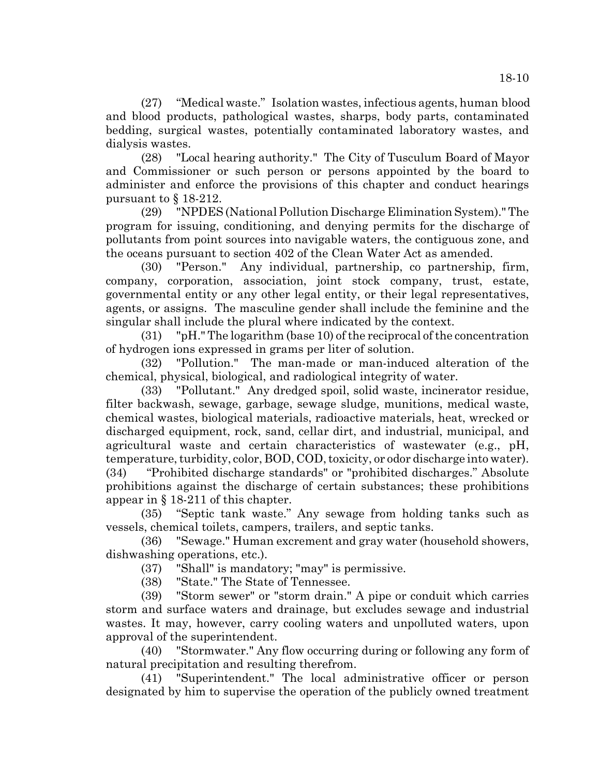(27) "Medical waste." Isolation wastes, infectious agents, human blood and blood products, pathological wastes, sharps, body parts, contaminated bedding, surgical wastes, potentially contaminated laboratory wastes, and dialysis wastes.

 (28) "Local hearing authority." The City of Tusculum Board of Mayor and Commissioner or such person or persons appointed by the board to administer and enforce the provisions of this chapter and conduct hearings pursuant to § 18-212.

(29) "NPDES (National Pollution Discharge Elimination System)." The program for issuing, conditioning, and denying permits for the discharge of pollutants from point sources into navigable waters, the contiguous zone, and the oceans pursuant to section 402 of the Clean Water Act as amended.

(30) "Person." Any individual, partnership, co partnership, firm, company, corporation, association, joint stock company, trust, estate, governmental entity or any other legal entity, or their legal representatives, agents, or assigns. The masculine gender shall include the feminine and the singular shall include the plural where indicated by the context.

(31) "pH." The logarithm (base 10) of the reciprocal of the concentration of hydrogen ions expressed in grams per liter of solution.

(32) "Pollution." The man-made or man-induced alteration of the chemical, physical, biological, and radiological integrity of water.

(33) "Pollutant." Any dredged spoil, solid waste, incinerator residue, filter backwash, sewage, garbage, sewage sludge, munitions, medical waste, chemical wastes, biological materials, radioactive materials, heat, wrecked or discharged equipment, rock, sand, cellar dirt, and industrial, municipal, and agricultural waste and certain characteristics of wastewater (e.g., pH, temperature, turbidity, color, BOD, COD, toxicity, or odor discharge into water). (34) "Prohibited discharge standards" or "prohibited discharges." Absolute prohibitions against the discharge of certain substances; these prohibitions appear in § 18-211 of this chapter.

(35) "Septic tank waste." Any sewage from holding tanks such as vessels, chemical toilets, campers, trailers, and septic tanks.

(36) "Sewage." Human excrement and gray water (household showers, dishwashing operations, etc.).

(37) "Shall" is mandatory; "may" is permissive.

(38) "State." The State of Tennessee.

(39) "Storm sewer" or "storm drain." A pipe or conduit which carries storm and surface waters and drainage, but excludes sewage and industrial wastes. It may, however, carry cooling waters and unpolluted waters, upon approval of the superintendent.

(40) "Stormwater." Any flow occurring during or following any form of natural precipitation and resulting therefrom.

(41) "Superintendent." The local administrative officer or person designated by him to supervise the operation of the publicly owned treatment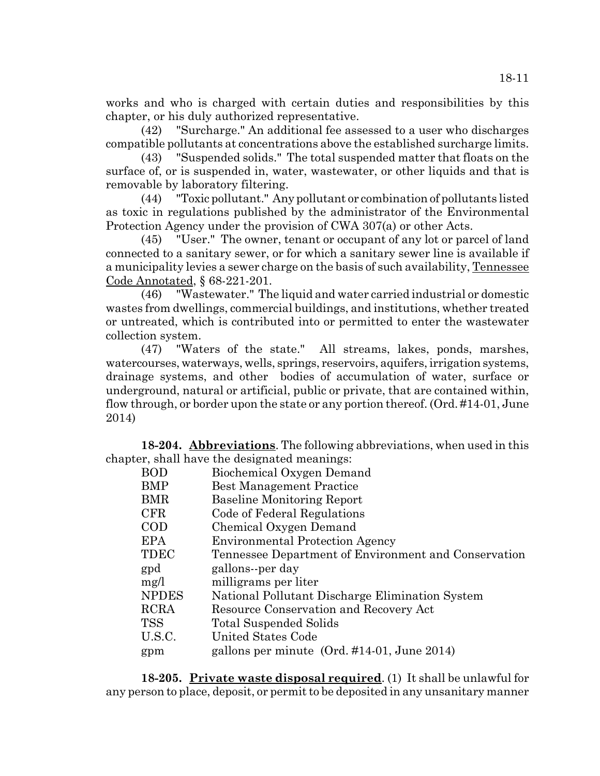works and who is charged with certain duties and responsibilities by this chapter, or his duly authorized representative.

(42) "Surcharge." An additional fee assessed to a user who discharges compatible pollutants at concentrations above the established surcharge limits.

(43) "Suspended solids." The total suspended matter that floats on the surface of, or is suspended in, water, wastewater, or other liquids and that is removable by laboratory filtering.

(44) "Toxic pollutant." Any pollutant or combination of pollutants listed as toxic in regulations published by the administrator of the Environmental Protection Agency under the provision of CWA 307(a) or other Acts.

(45) "User." The owner, tenant or occupant of any lot or parcel of land connected to a sanitary sewer, or for which a sanitary sewer line is available if a municipality levies a sewer charge on the basis of such availability, Tennessee Code Annotated, § 68-221-201.

(46) "Wastewater." The liquid and water carried industrial or domestic wastes from dwellings, commercial buildings, and institutions, whether treated or untreated, which is contributed into or permitted to enter the wastewater collection system.

(47) "Waters of the state." All streams, lakes, ponds, marshes, watercourses, waterways, wells, springs, reservoirs, aquifers, irrigation systems, drainage systems, and other bodies of accumulation of water, surface or underground, natural or artificial, public or private, that are contained within, flow through, or border upon the state or any portion thereof. (Ord. #14-01, June 2014)

**18-204. Abbreviations**. The following abbreviations, when used in this chapter, shall have the designated meanings:

| <b>BOD</b>   | Biochemical Oxygen Demand                            |
|--------------|------------------------------------------------------|
| BMP          | <b>Best Management Practice</b>                      |
| BMR          | <b>Baseline Monitoring Report</b>                    |
| <b>CFR</b>   | Code of Federal Regulations                          |
| COD          | Chemical Oxygen Demand                               |
| EPA          | <b>Environmental Protection Agency</b>               |
| TDEC         | Tennessee Department of Environment and Conservation |
| gpd          | gallons--per day                                     |
| mg/l         | milligrams per liter                                 |
| <b>NPDES</b> | National Pollutant Discharge Elimination System      |
| <b>RCRA</b>  | Resource Conservation and Recovery Act               |
| <b>TSS</b>   | Total Suspended Solids                               |
| U.S.C.       | United States Code                                   |
| gpm          | gallons per minute $(Ord. #14-01, June 2014)$        |

**18-205. Private waste disposal required**. (1) It shall be unlawful for any person to place, deposit, or permit to be deposited in any unsanitary manner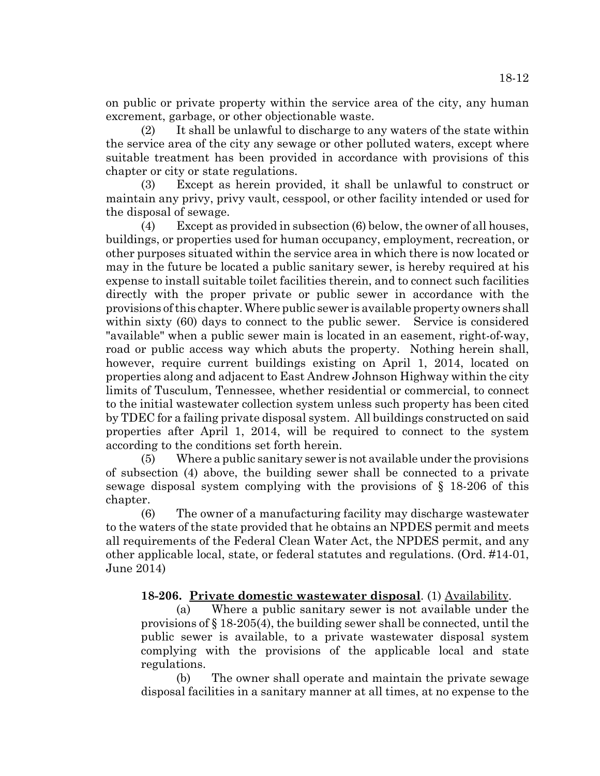on public or private property within the service area of the city, any human excrement, garbage, or other objectionable waste.

(2) It shall be unlawful to discharge to any waters of the state within the service area of the city any sewage or other polluted waters, except where suitable treatment has been provided in accordance with provisions of this chapter or city or state regulations.

(3) Except as herein provided, it shall be unlawful to construct or maintain any privy, privy vault, cesspool, or other facility intended or used for the disposal of sewage.

(4) Except as provided in subsection (6) below, the owner of all houses, buildings, or properties used for human occupancy, employment, recreation, or other purposes situated within the service area in which there is now located or may in the future be located a public sanitary sewer, is hereby required at his expense to install suitable toilet facilities therein, and to connect such facilities directly with the proper private or public sewer in accordance with the provisions of this chapter. Where public sewer is available property owners shall within sixty (60) days to connect to the public sewer. Service is considered "available" when a public sewer main is located in an easement, right-of-way, road or public access way which abuts the property. Nothing herein shall, however, require current buildings existing on April 1, 2014, located on properties along and adjacent to East Andrew Johnson Highway within the city limits of Tusculum, Tennessee, whether residential or commercial, to connect to the initial wastewater collection system unless such property has been cited by TDEC for a failing private disposal system. All buildings constructed on said properties after April 1, 2014, will be required to connect to the system according to the conditions set forth herein.

(5) Where a public sanitary sewer is not available under the provisions of subsection (4) above, the building sewer shall be connected to a private sewage disposal system complying with the provisions of § 18-206 of this chapter.

(6) The owner of a manufacturing facility may discharge wastewater to the waters of the state provided that he obtains an NPDES permit and meets all requirements of the Federal Clean Water Act, the NPDES permit, and any other applicable local, state, or federal statutes and regulations. (Ord. #14-01, June 2014)

# **18-206. Private domestic wastewater disposal**. (1) Availability.

(a) Where a public sanitary sewer is not available under the provisions of § 18-205(4), the building sewer shall be connected, until the public sewer is available, to a private wastewater disposal system complying with the provisions of the applicable local and state regulations.

(b) The owner shall operate and maintain the private sewage disposal facilities in a sanitary manner at all times, at no expense to the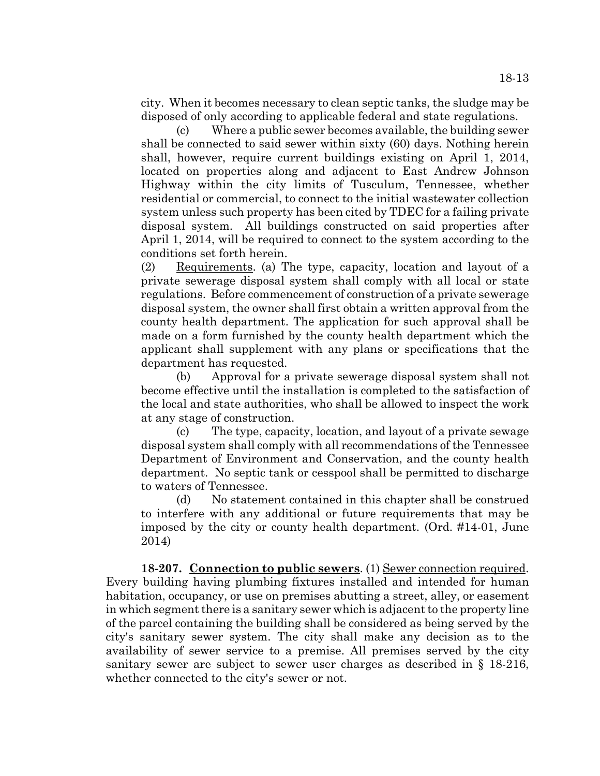city. When it becomes necessary to clean septic tanks, the sludge may be disposed of only according to applicable federal and state regulations.

(c) Where a public sewer becomes available, the building sewer shall be connected to said sewer within sixty (60) days. Nothing herein shall, however, require current buildings existing on April 1, 2014, located on properties along and adjacent to East Andrew Johnson Highway within the city limits of Tusculum, Tennessee, whether residential or commercial, to connect to the initial wastewater collection system unless such property has been cited by TDEC for a failing private disposal system. All buildings constructed on said properties after April 1, 2014, will be required to connect to the system according to the conditions set forth herein.

(2) Requirements. (a) The type, capacity, location and layout of a private sewerage disposal system shall comply with all local or state regulations. Before commencement of construction of a private sewerage disposal system, the owner shall first obtain a written approval from the county health department. The application for such approval shall be made on a form furnished by the county health department which the applicant shall supplement with any plans or specifications that the department has requested.

(b) Approval for a private sewerage disposal system shall not become effective until the installation is completed to the satisfaction of the local and state authorities, who shall be allowed to inspect the work at any stage of construction.

(c) The type, capacity, location, and layout of a private sewage disposal system shall comply with all recommendations of the Tennessee Department of Environment and Conservation, and the county health department. No septic tank or cesspool shall be permitted to discharge to waters of Tennessee.

(d) No statement contained in this chapter shall be construed to interfere with any additional or future requirements that may be imposed by the city or county health department. (Ord. #14-01, June 2014)

**18-207. Connection to public sewers**. (1) Sewer connection required. Every building having plumbing fixtures installed and intended for human habitation, occupancy, or use on premises abutting a street, alley, or easement in which segment there is a sanitary sewer which is adjacent to the property line of the parcel containing the building shall be considered as being served by the city's sanitary sewer system. The city shall make any decision as to the availability of sewer service to a premise. All premises served by the city sanitary sewer are subject to sewer user charges as described in § 18-216, whether connected to the city's sewer or not.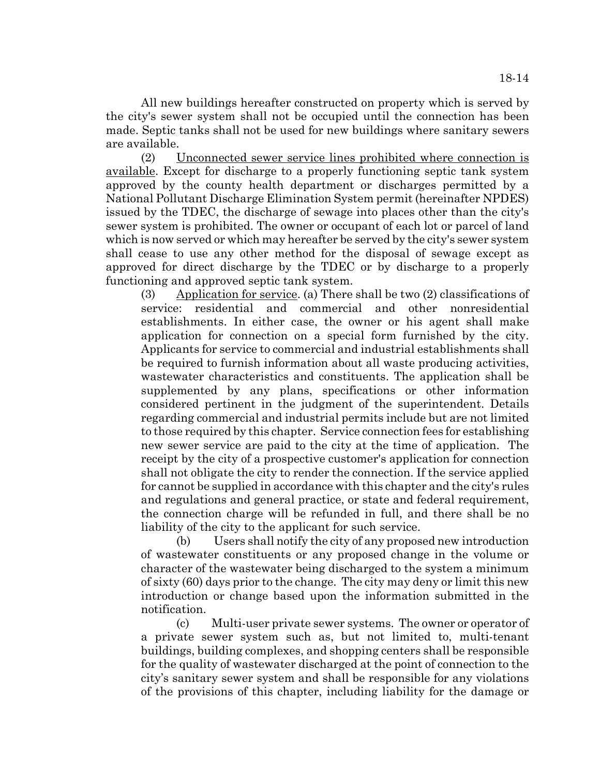All new buildings hereafter constructed on property which is served by the city's sewer system shall not be occupied until the connection has been made. Septic tanks shall not be used for new buildings where sanitary sewers are available.

(2) Unconnected sewer service lines prohibited where connection is available. Except for discharge to a properly functioning septic tank system approved by the county health department or discharges permitted by a National Pollutant Discharge Elimination System permit (hereinafter NPDES) issued by the TDEC, the discharge of sewage into places other than the city's sewer system is prohibited. The owner or occupant of each lot or parcel of land which is now served or which may hereafter be served by the city's sewer system shall cease to use any other method for the disposal of sewage except as approved for direct discharge by the TDEC or by discharge to a properly functioning and approved septic tank system.

(3) Application for service. (a) There shall be two (2) classifications of service: residential and commercial and other nonresidential establishments. In either case, the owner or his agent shall make application for connection on a special form furnished by the city. Applicants for service to commercial and industrial establishments shall be required to furnish information about all waste producing activities, wastewater characteristics and constituents. The application shall be supplemented by any plans, specifications or other information considered pertinent in the judgment of the superintendent. Details regarding commercial and industrial permits include but are not limited to those required by this chapter. Service connection fees for establishing new sewer service are paid to the city at the time of application. The receipt by the city of a prospective customer's application for connection shall not obligate the city to render the connection. If the service applied for cannot be supplied in accordance with this chapter and the city's rules and regulations and general practice, or state and federal requirement, the connection charge will be refunded in full, and there shall be no liability of the city to the applicant for such service.

(b) Users shall notify the city of any proposed new introduction of wastewater constituents or any proposed change in the volume or character of the wastewater being discharged to the system a minimum of sixty (60) days prior to the change. The city may deny or limit this new introduction or change based upon the information submitted in the notification.

(c) Multi-user private sewer systems. The owner or operator of a private sewer system such as, but not limited to, multi-tenant buildings, building complexes, and shopping centers shall be responsible for the quality of wastewater discharged at the point of connection to the city's sanitary sewer system and shall be responsible for any violations of the provisions of this chapter, including liability for the damage or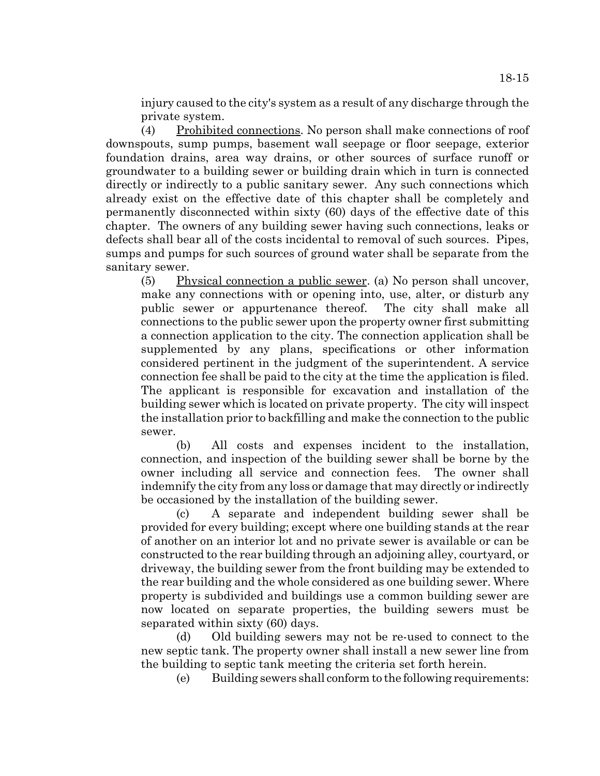injury caused to the city's system as a result of any discharge through the private system.

(4) Prohibited connections. No person shall make connections of roof downspouts, sump pumps, basement wall seepage or floor seepage, exterior foundation drains, area way drains, or other sources of surface runoff or groundwater to a building sewer or building drain which in turn is connected directly or indirectly to a public sanitary sewer. Any such connections which already exist on the effective date of this chapter shall be completely and permanently disconnected within sixty (60) days of the effective date of this chapter. The owners of any building sewer having such connections, leaks or defects shall bear all of the costs incidental to removal of such sources. Pipes, sumps and pumps for such sources of ground water shall be separate from the sanitary sewer.

(5) Physical connection a public sewer. (a) No person shall uncover, make any connections with or opening into, use, alter, or disturb any public sewer or appurtenance thereof. The city shall make all connections to the public sewer upon the property owner first submitting a connection application to the city. The connection application shall be supplemented by any plans, specifications or other information considered pertinent in the judgment of the superintendent. A service connection fee shall be paid to the city at the time the application is filed. The applicant is responsible for excavation and installation of the building sewer which is located on private property. The city will inspect the installation prior to backfilling and make the connection to the public sewer.

(b) All costs and expenses incident to the installation, connection, and inspection of the building sewer shall be borne by the owner including all service and connection fees. The owner shall indemnify the city from any loss or damage that may directly or indirectly be occasioned by the installation of the building sewer.

(c) A separate and independent building sewer shall be provided for every building; except where one building stands at the rear of another on an interior lot and no private sewer is available or can be constructed to the rear building through an adjoining alley, courtyard, or driveway, the building sewer from the front building may be extended to the rear building and the whole considered as one building sewer. Where property is subdivided and buildings use a common building sewer are now located on separate properties, the building sewers must be separated within sixty (60) days.

(d) Old building sewers may not be re-used to connect to the new septic tank. The property owner shall install a new sewer line from the building to septic tank meeting the criteria set forth herein.

(e) Building sewers shall conform to the following requirements: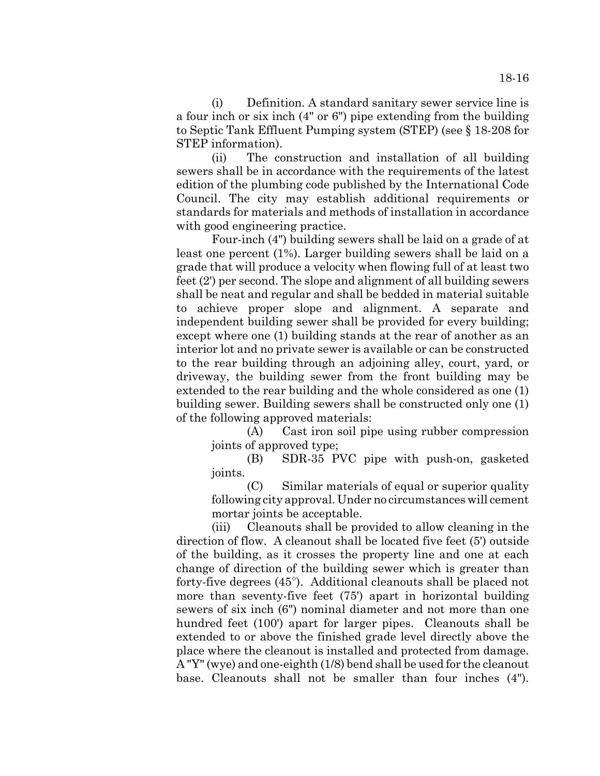(i) Definition. A standard sanitary sewer service line is a four inch or six inch (4" or 6") pipe extending from the building to Septic Tank Effluent Pumping system (STEP) (see § 18-208 for STEP information).

(ii) The construction and installation of all building sewers shall be in accordance with the requirements of the latest edition of the plumbing code published by the International Code Council. The city may establish additional requirements or standards for materials and methods of installation in accordance with good engineering practice.

Four-inch (4") building sewers shall be laid on a grade of at least one percent (1%). Larger building sewers shall be laid on a grade that will produce a velocity when flowing full of at least two feet (2') per second. The slope and alignment of all building sewers shall be neat and regular and shall be bedded in material suitable to achieve proper slope and alignment. A separate and independent building sewer shall be provided for every building; except where one (1) building stands at the rear of another as an interior lot and no private sewer is available or can be constructed to the rear building through an adjoining alley, court, yard, or driveway, the building sewer from the front building may be extended to the rear building and the whole considered as one (1) building sewer. Building sewers shall be constructed only one (1) of the following approved materials:

(A) Cast iron soil pipe using rubber compression joints of approved type;

(B) SDR-35 PVC pipe with push-on, gasketed joints.

(C) Similar materials of equal or superior quality following city approval. Under no circumstances will cement mortar joints be acceptable.

(iii) Cleanouts shall be provided to allow cleaning in the direction of flow. A cleanout shall be located five feet (5') outside of the building, as it crosses the property line and one at each change of direction of the building sewer which is greater than forty-five degrees (45" ). Additional cleanouts shall be placed not more than seventy-five feet (75') apart in horizontal building sewers of six inch (6") nominal diameter and not more than one hundred feet (100') apart for larger pipes. Cleanouts shall be extended to or above the finished grade level directly above the place where the cleanout is installed and protected from damage. A "Y" (wye) and one-eighth (1/8) bend shall be used for the cleanout base. Cleanouts shall not be smaller than four inches (4").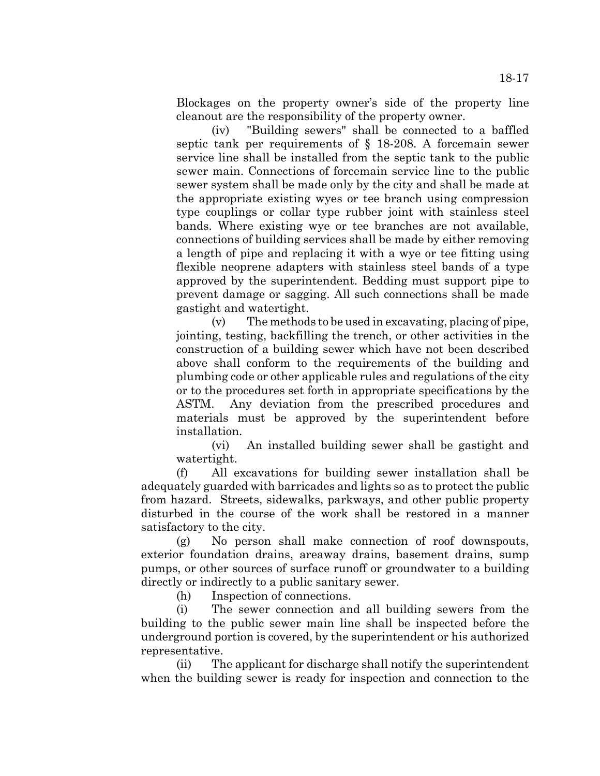Blockages on the property owner's side of the property line cleanout are the responsibility of the property owner.

(iv) "Building sewers" shall be connected to a baffled septic tank per requirements of § 18-208. A forcemain sewer service line shall be installed from the septic tank to the public sewer main. Connections of forcemain service line to the public sewer system shall be made only by the city and shall be made at the appropriate existing wyes or tee branch using compression type couplings or collar type rubber joint with stainless steel bands. Where existing wye or tee branches are not available, connections of building services shall be made by either removing a length of pipe and replacing it with a wye or tee fitting using flexible neoprene adapters with stainless steel bands of a type approved by the superintendent. Bedding must support pipe to prevent damage or sagging. All such connections shall be made gastight and watertight.

(v) The methods to be used in excavating, placing of pipe, jointing, testing, backfilling the trench, or other activities in the construction of a building sewer which have not been described above shall conform to the requirements of the building and plumbing code or other applicable rules and regulations of the city or to the procedures set forth in appropriate specifications by the ASTM. Any deviation from the prescribed procedures and materials must be approved by the superintendent before installation.

(vi) An installed building sewer shall be gastight and watertight.

(f) All excavations for building sewer installation shall be adequately guarded with barricades and lights so as to protect the public from hazard. Streets, sidewalks, parkways, and other public property disturbed in the course of the work shall be restored in a manner satisfactory to the city.

(g) No person shall make connection of roof downspouts, exterior foundation drains, areaway drains, basement drains, sump pumps, or other sources of surface runoff or groundwater to a building directly or indirectly to a public sanitary sewer.

(h) Inspection of connections.

(i) The sewer connection and all building sewers from the building to the public sewer main line shall be inspected before the underground portion is covered, by the superintendent or his authorized representative.

(ii) The applicant for discharge shall notify the superintendent when the building sewer is ready for inspection and connection to the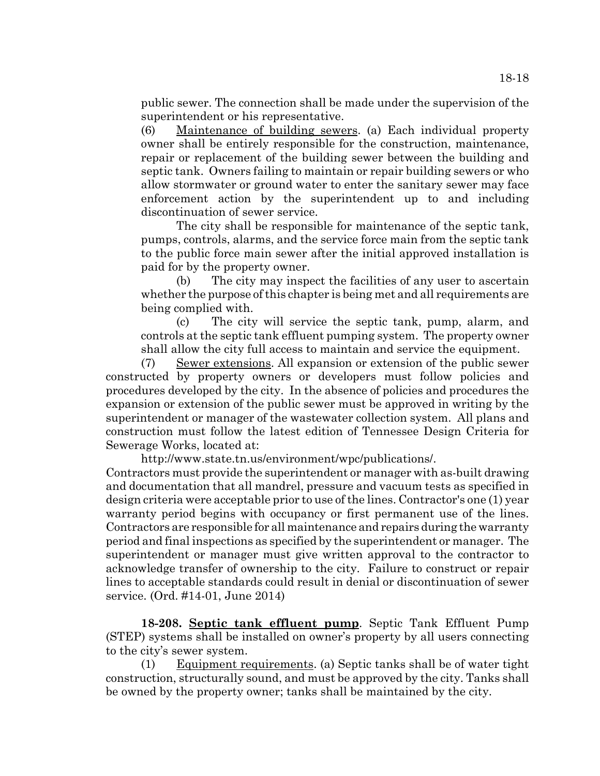public sewer. The connection shall be made under the supervision of the superintendent or his representative.

(6) Maintenance of building sewers. (a) Each individual property owner shall be entirely responsible for the construction, maintenance, repair or replacement of the building sewer between the building and septic tank. Owners failing to maintain or repair building sewers or who allow stormwater or ground water to enter the sanitary sewer may face enforcement action by the superintendent up to and including discontinuation of sewer service.

The city shall be responsible for maintenance of the septic tank, pumps, controls, alarms, and the service force main from the septic tank to the public force main sewer after the initial approved installation is paid for by the property owner.

(b) The city may inspect the facilities of any user to ascertain whether the purpose of this chapter is being met and all requirements are being complied with.

(c) The city will service the septic tank, pump, alarm, and controls at the septic tank effluent pumping system. The property owner shall allow the city full access to maintain and service the equipment.

(7) Sewer extensions. All expansion or extension of the public sewer constructed by property owners or developers must follow policies and procedures developed by the city. In the absence of policies and procedures the expansion or extension of the public sewer must be approved in writing by the superintendent or manager of the wastewater collection system. All plans and construction must follow the latest edition of Tennessee Design Criteria for Sewerage Works, located at:

http://www.state.tn.us/environment/wpc/publications/.

Contractors must provide the superintendent or manager with as-built drawing and documentation that all mandrel, pressure and vacuum tests as specified in design criteria were acceptable prior to use of the lines. Contractor's one (1) year warranty period begins with occupancy or first permanent use of the lines. Contractors are responsible for all maintenance and repairs during the warranty period and final inspections as specified by the superintendent or manager. The superintendent or manager must give written approval to the contractor to acknowledge transfer of ownership to the city. Failure to construct or repair lines to acceptable standards could result in denial or discontinuation of sewer service. (Ord. #14-01, June 2014)

**18-208. Septic tank effluent pump**. Septic Tank Effluent Pump (STEP) systems shall be installed on owner's property by all users connecting to the city's sewer system.

(1) Equipment requirements. (a) Septic tanks shall be of water tight construction, structurally sound, and must be approved by the city. Tanks shall be owned by the property owner; tanks shall be maintained by the city.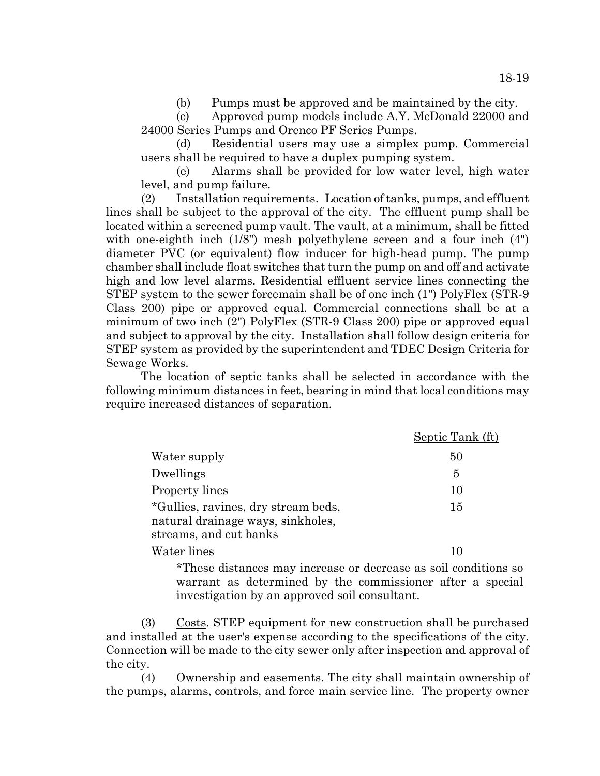(b) Pumps must be approved and be maintained by the city.

(c) Approved pump models include A.Y. McDonald 22000 and 24000 Series Pumps and Orenco PF Series Pumps.

(d) Residential users may use a simplex pump. Commercial users shall be required to have a duplex pumping system.

(e) Alarms shall be provided for low water level, high water level, and pump failure.

(2) Installation requirements. Location of tanks, pumps, and effluent lines shall be subject to the approval of the city. The effluent pump shall be located within a screened pump vault. The vault, at a minimum, shall be fitted with one-eighth inch (1/8") mesh polyethylene screen and a four inch (4") diameter PVC (or equivalent) flow inducer for high-head pump. The pump chamber shall include float switches that turn the pump on and off and activate high and low level alarms. Residential effluent service lines connecting the STEP system to the sewer forcemain shall be of one inch (1") PolyFlex (STR-9 Class 200) pipe or approved equal. Commercial connections shall be at a minimum of two inch (2") PolyFlex (STR-9 Class 200) pipe or approved equal and subject to approval by the city. Installation shall follow design criteria for STEP system as provided by the superintendent and TDEC Design Criteria for Sewage Works.

The location of septic tanks shall be selected in accordance with the following minimum distances in feet, bearing in mind that local conditions may require increased distances of separation.

|                                                                                                    | Septic Tank (ft) |
|----------------------------------------------------------------------------------------------------|------------------|
| Water supply                                                                                       | 50               |
| Dwellings                                                                                          | 5                |
| <b>Property lines</b>                                                                              | 10               |
| *Gullies, ravines, dry stream beds,<br>natural drainage ways, sinkholes,<br>streams, and cut banks | 15               |
| Water lines                                                                                        | 10               |

\*These distances may increase or decrease as soil conditions so warrant as determined by the commissioner after a special investigation by an approved soil consultant.

(3) Costs. STEP equipment for new construction shall be purchased and installed at the user's expense according to the specifications of the city. Connection will be made to the city sewer only after inspection and approval of the city.

(4) Ownership and easements. The city shall maintain ownership of the pumps, alarms, controls, and force main service line. The property owner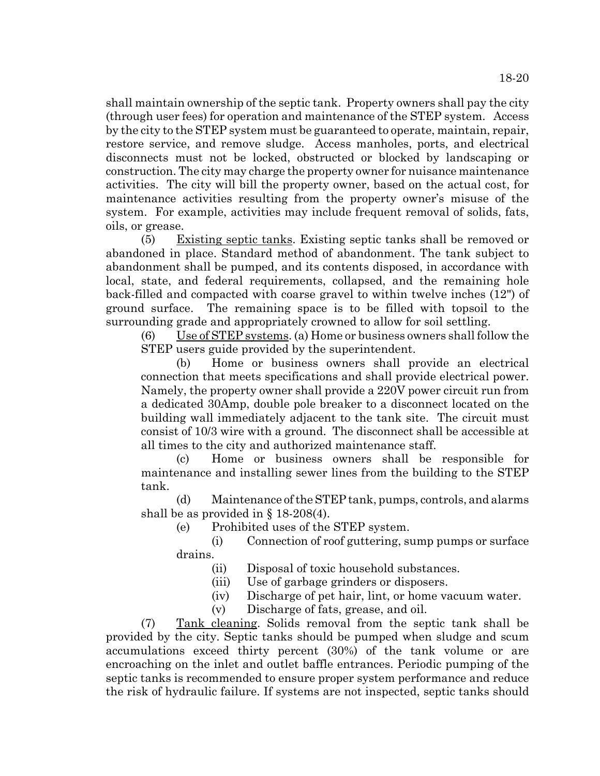shall maintain ownership of the septic tank. Property owners shall pay the city (through user fees) for operation and maintenance of the STEP system. Access by the city to the STEP system must be guaranteed to operate, maintain, repair, restore service, and remove sludge. Access manholes, ports, and electrical disconnects must not be locked, obstructed or blocked by landscaping or construction. The city may charge the property owner for nuisance maintenance activities. The city will bill the property owner, based on the actual cost, for maintenance activities resulting from the property owner's misuse of the system. For example, activities may include frequent removal of solids, fats, oils, or grease.

(5) Existing septic tanks. Existing septic tanks shall be removed or abandoned in place. Standard method of abandonment. The tank subject to abandonment shall be pumped, and its contents disposed, in accordance with local, state, and federal requirements, collapsed, and the remaining hole back-filled and compacted with coarse gravel to within twelve inches (12") of ground surface. The remaining space is to be filled with topsoil to the surrounding grade and appropriately crowned to allow for soil settling.

(6) Use of STEP systems. (a) Home or business owners shall follow the STEP users guide provided by the superintendent.

(b) Home or business owners shall provide an electrical connection that meets specifications and shall provide electrical power. Namely, the property owner shall provide a 220V power circuit run from a dedicated 30Amp, double pole breaker to a disconnect located on the building wall immediately adjacent to the tank site. The circuit must consist of 10/3 wire with a ground. The disconnect shall be accessible at all times to the city and authorized maintenance staff.

(c) Home or business owners shall be responsible for maintenance and installing sewer lines from the building to the STEP tank.

(d) Maintenance of the STEP tank, pumps, controls, and alarms shall be as provided in § 18-208(4).

(e) Prohibited uses of the STEP system.

(i) Connection of roof guttering, sump pumps or surface drains.

- (ii) Disposal of toxic household substances.
- (iii) Use of garbage grinders or disposers.
- (iv) Discharge of pet hair, lint, or home vacuum water.
- (v) Discharge of fats, grease, and oil.

(7) Tank cleaning. Solids removal from the septic tank shall be provided by the city. Septic tanks should be pumped when sludge and scum accumulations exceed thirty percent (30%) of the tank volume or are encroaching on the inlet and outlet baffle entrances. Periodic pumping of the septic tanks is recommended to ensure proper system performance and reduce the risk of hydraulic failure. If systems are not inspected, septic tanks should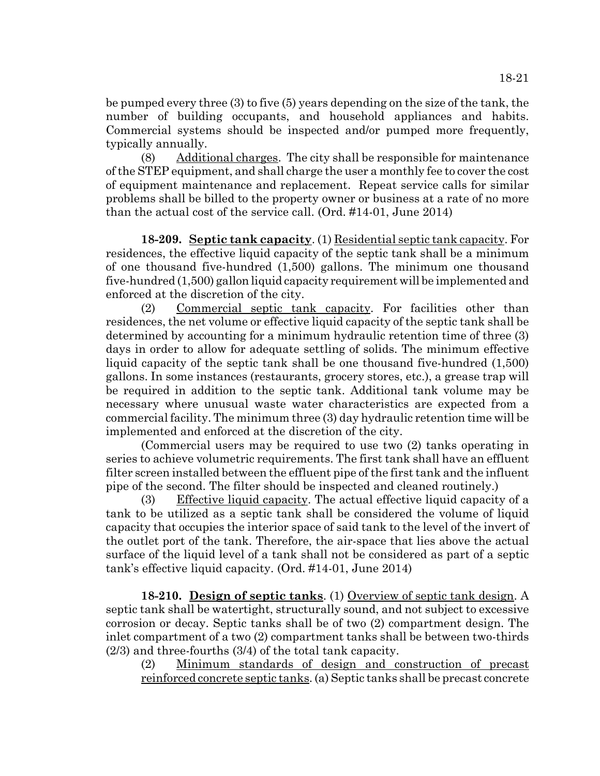be pumped every three (3) to five (5) years depending on the size of the tank, the number of building occupants, and household appliances and habits. Commercial systems should be inspected and/or pumped more frequently, typically annually.

(8) Additional charges. The city shall be responsible for maintenance of the STEP equipment, and shall charge the user a monthly fee to cover the cost of equipment maintenance and replacement. Repeat service calls for similar problems shall be billed to the property owner or business at a rate of no more than the actual cost of the service call. (Ord. #14-01, June 2014)

**18-209. Septic tank capacity**. (1) Residential septic tank capacity. For residences, the effective liquid capacity of the septic tank shall be a minimum of one thousand five-hundred (1,500) gallons. The minimum one thousand five-hundred (1,500) gallon liquid capacity requirement will be implemented and enforced at the discretion of the city.

(2) Commercial septic tank capacity. For facilities other than residences, the net volume or effective liquid capacity of the septic tank shall be determined by accounting for a minimum hydraulic retention time of three (3) days in order to allow for adequate settling of solids. The minimum effective liquid capacity of the septic tank shall be one thousand five-hundred (1,500) gallons. In some instances (restaurants, grocery stores, etc.), a grease trap will be required in addition to the septic tank. Additional tank volume may be necessary where unusual waste water characteristics are expected from a commercial facility. The minimum three (3) day hydraulic retention time will be implemented and enforced at the discretion of the city.

(Commercial users may be required to use two (2) tanks operating in series to achieve volumetric requirements. The first tank shall have an effluent filter screen installed between the effluent pipe of the first tank and the influent pipe of the second. The filter should be inspected and cleaned routinely.)

(3) Effective liquid capacity. The actual effective liquid capacity of a tank to be utilized as a septic tank shall be considered the volume of liquid capacity that occupies the interior space of said tank to the level of the invert of the outlet port of the tank. Therefore, the air-space that lies above the actual surface of the liquid level of a tank shall not be considered as part of a septic tank's effective liquid capacity. (Ord. #14-01, June 2014)

**18-210. Design of septic tanks**. (1) Overview of septic tank design. A septic tank shall be watertight, structurally sound, and not subject to excessive corrosion or decay. Septic tanks shall be of two (2) compartment design. The inlet compartment of a two (2) compartment tanks shall be between two-thirds (2/3) and three-fourths (3/4) of the total tank capacity.

(2) Minimum standards of design and construction of precast reinforced concrete septic tanks. (a) Septic tanks shall be precast concrete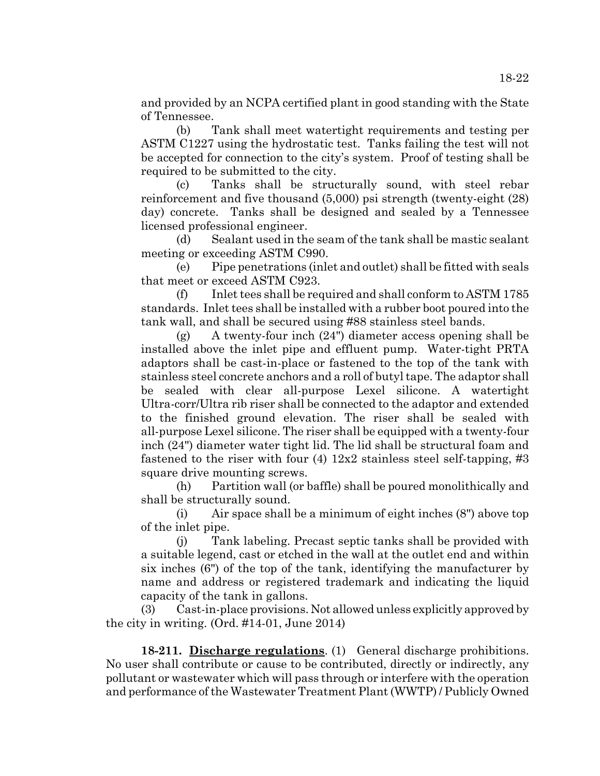and provided by an NCPA certified plant in good standing with the State of Tennessee.

(b) Tank shall meet watertight requirements and testing per ASTM C1227 using the hydrostatic test. Tanks failing the test will not be accepted for connection to the city's system. Proof of testing shall be required to be submitted to the city.

(c) Tanks shall be structurally sound, with steel rebar reinforcement and five thousand (5,000) psi strength (twenty-eight (28) day) concrete. Tanks shall be designed and sealed by a Tennessee licensed professional engineer.

(d) Sealant used in the seam of the tank shall be mastic sealant meeting or exceeding ASTM C990.

(e) Pipe penetrations (inlet and outlet) shall be fitted with seals that meet or exceed ASTM C923.

(f) Inlet tees shall be required and shall conform to ASTM 1785 standards. Inlet tees shall be installed with a rubber boot poured into the tank wall, and shall be secured using #88 stainless steel bands.

(g) A twenty-four inch (24") diameter access opening shall be installed above the inlet pipe and effluent pump. Water-tight PRTA adaptors shall be cast-in-place or fastened to the top of the tank with stainless steel concrete anchors and a roll of butyl tape. The adaptor shall be sealed with clear all-purpose Lexel silicone. A watertight Ultra-corr/Ultra rib riser shall be connected to the adaptor and extended to the finished ground elevation. The riser shall be sealed with all-purpose Lexel silicone. The riser shall be equipped with a twenty-four inch (24") diameter water tight lid. The lid shall be structural foam and fastened to the riser with four  $(4)$  12x2 stainless steel self-tapping, #3 square drive mounting screws.

(h) Partition wall (or baffle) shall be poured monolithically and shall be structurally sound.

(i) Air space shall be a minimum of eight inches (8") above top of the inlet pipe.

(j) Tank labeling. Precast septic tanks shall be provided with a suitable legend, cast or etched in the wall at the outlet end and within six inches (6") of the top of the tank, identifying the manufacturer by name and address or registered trademark and indicating the liquid capacity of the tank in gallons.

(3) Cast-in-place provisions. Not allowed unless explicitly approved by the city in writing. (Ord. #14-01, June 2014)

**18-211. Discharge regulations**. (1) General discharge prohibitions. No user shall contribute or cause to be contributed, directly or indirectly, any pollutant or wastewater which will pass through or interfere with the operation and performance of the Wastewater Treatment Plant (WWTP) / Publicly Owned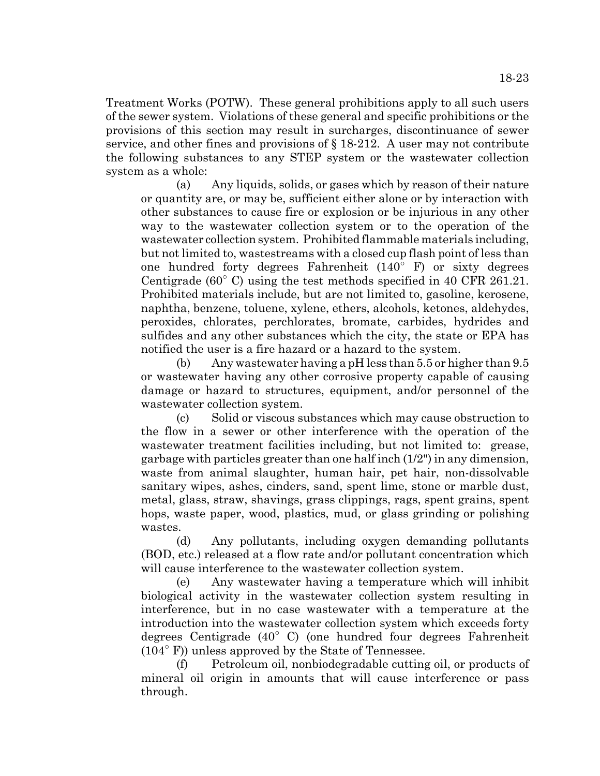Treatment Works (POTW). These general prohibitions apply to all such users of the sewer system. Violations of these general and specific prohibitions or the provisions of this section may result in surcharges, discontinuance of sewer service, and other fines and provisions of § 18-212. A user may not contribute the following substances to any STEP system or the wastewater collection system as a whole:

(a) Any liquids, solids, or gases which by reason of their nature or quantity are, or may be, sufficient either alone or by interaction with other substances to cause fire or explosion or be injurious in any other way to the wastewater collection system or to the operation of the wastewater collection system. Prohibited flammable materials including, but not limited to, wastestreams with a closed cup flash point of less than one hundred forty degrees Fahrenheit (140" F) or sixty degrees Centigrade  $(60^{\circ}$  C) using the test methods specified in 40 CFR 261.21. Prohibited materials include, but are not limited to, gasoline, kerosene, naphtha, benzene, toluene, xylene, ethers, alcohols, ketones, aldehydes, peroxides, chlorates, perchlorates, bromate, carbides, hydrides and sulfides and any other substances which the city, the state or EPA has notified the user is a fire hazard or a hazard to the system.

(b) Any wastewater having a pH less than 5.5 or higher than 9.5 or wastewater having any other corrosive property capable of causing damage or hazard to structures, equipment, and/or personnel of the wastewater collection system.

(c) Solid or viscous substances which may cause obstruction to the flow in a sewer or other interference with the operation of the wastewater treatment facilities including, but not limited to: grease, garbage with particles greater than one half inch (1/2") in any dimension, waste from animal slaughter, human hair, pet hair, non-dissolvable sanitary wipes, ashes, cinders, sand, spent lime, stone or marble dust, metal, glass, straw, shavings, grass clippings, rags, spent grains, spent hops, waste paper, wood, plastics, mud, or glass grinding or polishing wastes.

(d) Any pollutants, including oxygen demanding pollutants (BOD, etc.) released at a flow rate and/or pollutant concentration which will cause interference to the wastewater collection system.

(e) Any wastewater having a temperature which will inhibit biological activity in the wastewater collection system resulting in interference, but in no case wastewater with a temperature at the introduction into the wastewater collection system which exceeds forty degrees Centigrade (40" C) (one hundred four degrees Fahrenheit (104" F)) unless approved by the State of Tennessee.

(f) Petroleum oil, nonbiodegradable cutting oil, or products of mineral oil origin in amounts that will cause interference or pass through.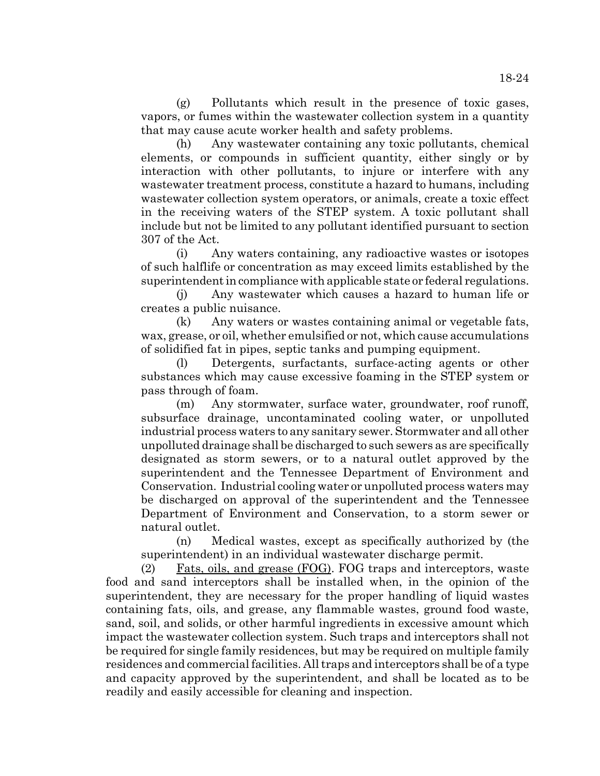(g) Pollutants which result in the presence of toxic gases, vapors, or fumes within the wastewater collection system in a quantity that may cause acute worker health and safety problems.

(h) Any wastewater containing any toxic pollutants, chemical elements, or compounds in sufficient quantity, either singly or by interaction with other pollutants, to injure or interfere with any wastewater treatment process, constitute a hazard to humans, including wastewater collection system operators, or animals, create a toxic effect in the receiving waters of the STEP system. A toxic pollutant shall include but not be limited to any pollutant identified pursuant to section 307 of the Act.

(i) Any waters containing, any radioactive wastes or isotopes of such halflife or concentration as may exceed limits established by the superintendent in compliance with applicable state or federal regulations.

(j) Any wastewater which causes a hazard to human life or creates a public nuisance.

(k) Any waters or wastes containing animal or vegetable fats, wax, grease, or oil, whether emulsified or not, which cause accumulations of solidified fat in pipes, septic tanks and pumping equipment.

(l) Detergents, surfactants, surface-acting agents or other substances which may cause excessive foaming in the STEP system or pass through of foam.

(m) Any stormwater, surface water, groundwater, roof runoff, subsurface drainage, uncontaminated cooling water, or unpolluted industrial process waters to any sanitary sewer. Stormwater and all other unpolluted drainage shall be discharged to such sewers as are specifically designated as storm sewers, or to a natural outlet approved by the superintendent and the Tennessee Department of Environment and Conservation. Industrial cooling water or unpolluted process waters may be discharged on approval of the superintendent and the Tennessee Department of Environment and Conservation, to a storm sewer or natural outlet.

(n) Medical wastes, except as specifically authorized by (the superintendent) in an individual wastewater discharge permit.

(2) Fats, oils, and grease (FOG). FOG traps and interceptors, waste food and sand interceptors shall be installed when, in the opinion of the superintendent, they are necessary for the proper handling of liquid wastes containing fats, oils, and grease, any flammable wastes, ground food waste, sand, soil, and solids, or other harmful ingredients in excessive amount which impact the wastewater collection system. Such traps and interceptors shall not be required for single family residences, but may be required on multiple family residences and commercial facilities. All traps and interceptors shall be of a type and capacity approved by the superintendent, and shall be located as to be readily and easily accessible for cleaning and inspection.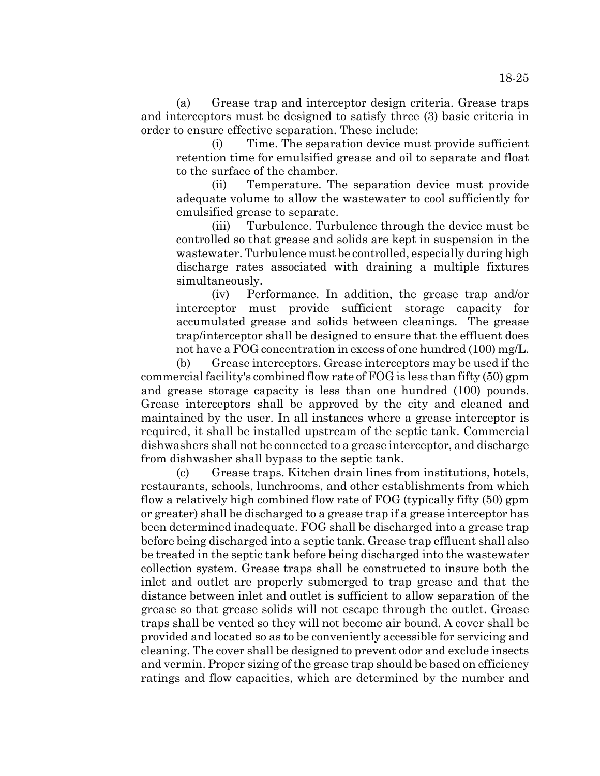(a) Grease trap and interceptor design criteria. Grease traps and interceptors must be designed to satisfy three (3) basic criteria in order to ensure effective separation. These include:

(i) Time. The separation device must provide sufficient retention time for emulsified grease and oil to separate and float to the surface of the chamber.

(ii) Temperature. The separation device must provide adequate volume to allow the wastewater to cool sufficiently for emulsified grease to separate.

(iii) Turbulence. Turbulence through the device must be controlled so that grease and solids are kept in suspension in the wastewater. Turbulence must be controlled, especially during high discharge rates associated with draining a multiple fixtures simultaneously.

(iv) Performance. In addition, the grease trap and/or interceptor must provide sufficient storage capacity for accumulated grease and solids between cleanings. The grease trap/interceptor shall be designed to ensure that the effluent does not have a FOG concentration in excess of one hundred (100) mg/L.

(b) Grease interceptors. Grease interceptors may be used if the commercial facility's combined flow rate of FOG is less than fifty (50) gpm and grease storage capacity is less than one hundred (100) pounds. Grease interceptors shall be approved by the city and cleaned and maintained by the user. In all instances where a grease interceptor is required, it shall be installed upstream of the septic tank. Commercial dishwashers shall not be connected to a grease interceptor, and discharge from dishwasher shall bypass to the septic tank.

(c) Grease traps. Kitchen drain lines from institutions, hotels, restaurants, schools, lunchrooms, and other establishments from which flow a relatively high combined flow rate of FOG (typically fifty (50) gpm or greater) shall be discharged to a grease trap if a grease interceptor has been determined inadequate. FOG shall be discharged into a grease trap before being discharged into a septic tank. Grease trap effluent shall also be treated in the septic tank before being discharged into the wastewater collection system. Grease traps shall be constructed to insure both the inlet and outlet are properly submerged to trap grease and that the distance between inlet and outlet is sufficient to allow separation of the grease so that grease solids will not escape through the outlet. Grease traps shall be vented so they will not become air bound. A cover shall be provided and located so as to be conveniently accessible for servicing and cleaning. The cover shall be designed to prevent odor and exclude insects and vermin. Proper sizing of the grease trap should be based on efficiency ratings and flow capacities, which are determined by the number and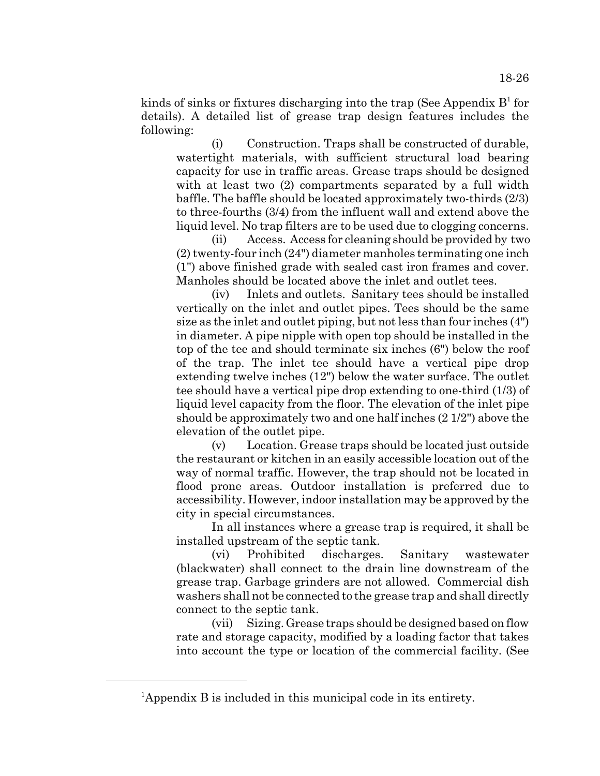kinds of sinks or fixtures discharging into the trap (See Appendix  $B<sup>1</sup>$  for details). A detailed list of grease trap design features includes the following:

(i) Construction. Traps shall be constructed of durable, watertight materials, with sufficient structural load bearing capacity for use in traffic areas. Grease traps should be designed with at least two  $(2)$  compartments separated by a full width baffle. The baffle should be located approximately two-thirds (2/3) to three-fourths (3/4) from the influent wall and extend above the liquid level. No trap filters are to be used due to clogging concerns.

(ii) Access. Access for cleaning should be provided by two (2) twenty-four inch (24") diameter manholes terminating one inch (1") above finished grade with sealed cast iron frames and cover. Manholes should be located above the inlet and outlet tees.

(iv) Inlets and outlets. Sanitary tees should be installed vertically on the inlet and outlet pipes. Tees should be the same size as the inlet and outlet piping, but not less than four inches (4") in diameter. A pipe nipple with open top should be installed in the top of the tee and should terminate six inches (6") below the roof of the trap. The inlet tee should have a vertical pipe drop extending twelve inches (12") below the water surface. The outlet tee should have a vertical pipe drop extending to one-third (1/3) of liquid level capacity from the floor. The elevation of the inlet pipe should be approximately two and one half inches (2 1/2") above the elevation of the outlet pipe.

(v) Location. Grease traps should be located just outside the restaurant or kitchen in an easily accessible location out of the way of normal traffic. However, the trap should not be located in flood prone areas. Outdoor installation is preferred due to accessibility. However, indoor installation may be approved by the city in special circumstances.

In all instances where a grease trap is required, it shall be installed upstream of the septic tank.

(vi) Prohibited discharges. Sanitary wastewater (blackwater) shall connect to the drain line downstream of the grease trap. Garbage grinders are not allowed. Commercial dish washers shall not be connected to the grease trap and shall directly connect to the septic tank.

(vii) Sizing. Grease traps should be designed based on flow rate and storage capacity, modified by a loading factor that takes into account the type or location of the commercial facility. (See

<sup>&</sup>lt;sup>1</sup>Appendix B is included in this municipal code in its entirety.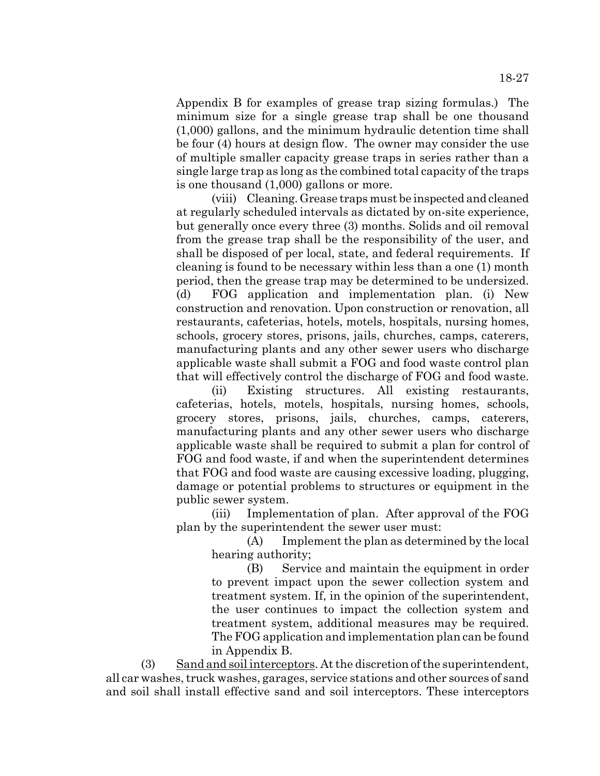Appendix B for examples of grease trap sizing formulas.) The minimum size for a single grease trap shall be one thousand (1,000) gallons, and the minimum hydraulic detention time shall be four (4) hours at design flow. The owner may consider the use of multiple smaller capacity grease traps in series rather than a single large trap as long as the combined total capacity of the traps is one thousand (1,000) gallons or more.

(viii) Cleaning. Grease traps must be inspected and cleaned at regularly scheduled intervals as dictated by on-site experience, but generally once every three (3) months. Solids and oil removal from the grease trap shall be the responsibility of the user, and shall be disposed of per local, state, and federal requirements. If cleaning is found to be necessary within less than a one (1) month period, then the grease trap may be determined to be undersized. (d) FOG application and implementation plan. (i) New construction and renovation. Upon construction or renovation, all restaurants, cafeterias, hotels, motels, hospitals, nursing homes, schools, grocery stores, prisons, jails, churches, camps, caterers, manufacturing plants and any other sewer users who discharge applicable waste shall submit a FOG and food waste control plan that will effectively control the discharge of FOG and food waste.

(ii) Existing structures. All existing restaurants, cafeterias, hotels, motels, hospitals, nursing homes, schools, grocery stores, prisons, jails, churches, camps, caterers, manufacturing plants and any other sewer users who discharge applicable waste shall be required to submit a plan for control of FOG and food waste, if and when the superintendent determines that FOG and food waste are causing excessive loading, plugging, damage or potential problems to structures or equipment in the public sewer system.

(iii) Implementation of plan. After approval of the FOG plan by the superintendent the sewer user must:

(A) Implement the plan as determined by the local hearing authority;

(B) Service and maintain the equipment in order to prevent impact upon the sewer collection system and treatment system. If, in the opinion of the superintendent, the user continues to impact the collection system and treatment system, additional measures may be required. The FOG application and implementation plan can be found in Appendix B.

(3) Sand and soil interceptors. At the discretion of the superintendent, all car washes, truck washes, garages, service stations and other sources of sand and soil shall install effective sand and soil interceptors. These interceptors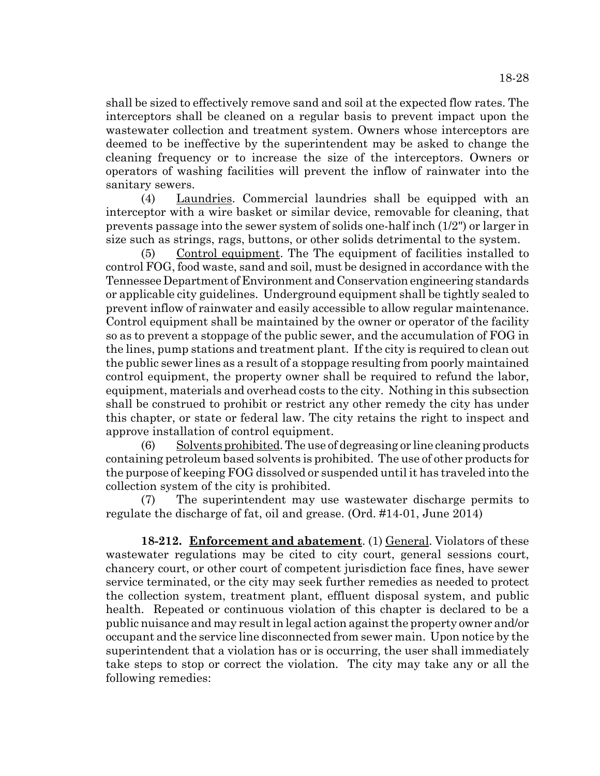shall be sized to effectively remove sand and soil at the expected flow rates. The interceptors shall be cleaned on a regular basis to prevent impact upon the wastewater collection and treatment system. Owners whose interceptors are deemed to be ineffective by the superintendent may be asked to change the cleaning frequency or to increase the size of the interceptors. Owners or operators of washing facilities will prevent the inflow of rainwater into the sanitary sewers.

(4) Laundries. Commercial laundries shall be equipped with an interceptor with a wire basket or similar device, removable for cleaning, that prevents passage into the sewer system of solids one-half inch (1/2") or larger in size such as strings, rags, buttons, or other solids detrimental to the system.

(5) Control equipment. The The equipment of facilities installed to control FOG, food waste, sand and soil, must be designed in accordance with the Tennessee Department of Environment and Conservation engineering standards or applicable city guidelines. Underground equipment shall be tightly sealed to prevent inflow of rainwater and easily accessible to allow regular maintenance. Control equipment shall be maintained by the owner or operator of the facility so as to prevent a stoppage of the public sewer, and the accumulation of FOG in the lines, pump stations and treatment plant. If the city is required to clean out the public sewer lines as a result of a stoppage resulting from poorly maintained control equipment, the property owner shall be required to refund the labor, equipment, materials and overhead costs to the city. Nothing in this subsection shall be construed to prohibit or restrict any other remedy the city has under this chapter, or state or federal law. The city retains the right to inspect and approve installation of control equipment.

 $(6)$  Solvents prohibited. The use of degreasing or line cleaning products containing petroleum based solvents is prohibited. The use of other products for the purpose of keeping FOG dissolved or suspended until it has traveled into the collection system of the city is prohibited.

(7) The superintendent may use wastewater discharge permits to regulate the discharge of fat, oil and grease. (Ord. #14-01, June 2014)

**18-212. Enforcement and abatement**. (1) General. Violators of these wastewater regulations may be cited to city court, general sessions court, chancery court, or other court of competent jurisdiction face fines, have sewer service terminated, or the city may seek further remedies as needed to protect the collection system, treatment plant, effluent disposal system, and public health. Repeated or continuous violation of this chapter is declared to be a public nuisance and may result in legal action against the property owner and/or occupant and the service line disconnected from sewer main. Upon notice by the superintendent that a violation has or is occurring, the user shall immediately take steps to stop or correct the violation. The city may take any or all the following remedies: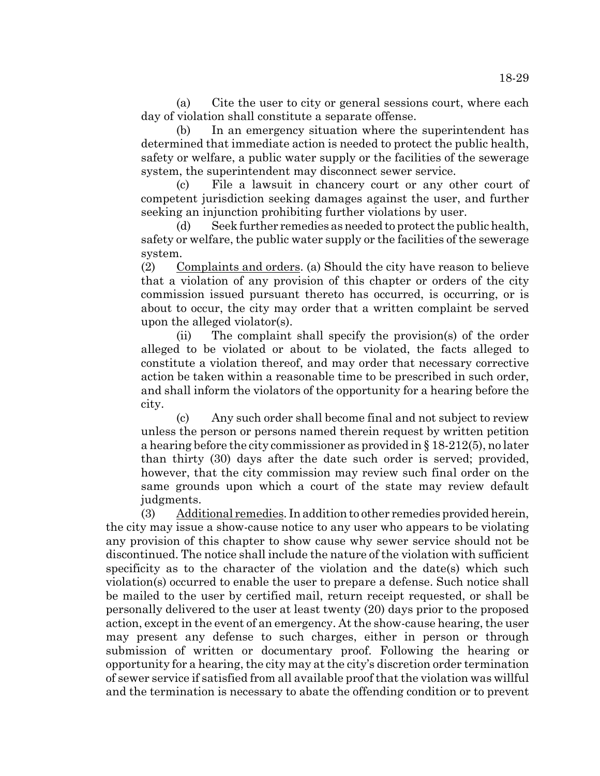(a) Cite the user to city or general sessions court, where each day of violation shall constitute a separate offense.

(b) In an emergency situation where the superintendent has determined that immediate action is needed to protect the public health, safety or welfare, a public water supply or the facilities of the sewerage system, the superintendent may disconnect sewer service.

(c) File a lawsuit in chancery court or any other court of competent jurisdiction seeking damages against the user, and further seeking an injunction prohibiting further violations by user.

(d) Seek further remedies as needed to protect the public health, safety or welfare, the public water supply or the facilities of the sewerage system.

(2) Complaints and orders. (a) Should the city have reason to believe that a violation of any provision of this chapter or orders of the city commission issued pursuant thereto has occurred, is occurring, or is about to occur, the city may order that a written complaint be served upon the alleged violator(s).

(ii) The complaint shall specify the provision(s) of the order alleged to be violated or about to be violated, the facts alleged to constitute a violation thereof, and may order that necessary corrective action be taken within a reasonable time to be prescribed in such order, and shall inform the violators of the opportunity for a hearing before the city.

(c) Any such order shall become final and not subject to review unless the person or persons named therein request by written petition a hearing before the city commissioner as provided in § 18-212(5), no later than thirty (30) days after the date such order is served; provided, however, that the city commission may review such final order on the same grounds upon which a court of the state may review default judgments.

(3) Additional remedies. In addition to other remedies provided herein, the city may issue a show-cause notice to any user who appears to be violating any provision of this chapter to show cause why sewer service should not be discontinued. The notice shall include the nature of the violation with sufficient specificity as to the character of the violation and the date(s) which such violation(s) occurred to enable the user to prepare a defense. Such notice shall be mailed to the user by certified mail, return receipt requested, or shall be personally delivered to the user at least twenty (20) days prior to the proposed action, except in the event of an emergency. At the show-cause hearing, the user may present any defense to such charges, either in person or through submission of written or documentary proof. Following the hearing or opportunity for a hearing, the city may at the city's discretion order termination of sewer service if satisfied from all available proof that the violation was willful and the termination is necessary to abate the offending condition or to prevent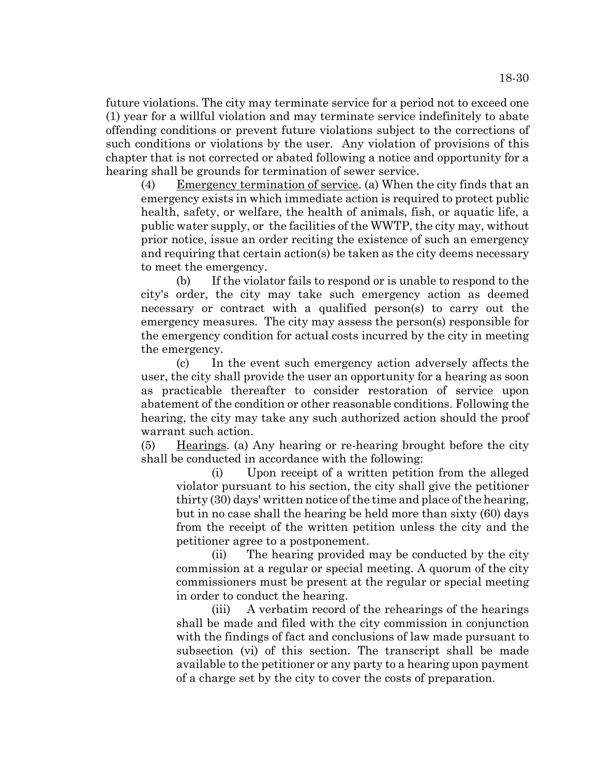future violations. The city may terminate service for a period not to exceed one (1) year for a willful violation and may terminate service indefinitely to abate offending conditions or prevent future violations subject to the corrections of such conditions or violations by the user. Any violation of provisions of this chapter that is not corrected or abated following a notice and opportunity for a hearing shall be grounds for termination of sewer service.

(4) Emergency termination of service. (a) When the city finds that an emergency exists in which immediate action is required to protect public health, safety, or welfare, the health of animals, fish, or aquatic life, a public water supply, or the facilities of the WWTP, the city may, without prior notice, issue an order reciting the existence of such an emergency and requiring that certain action(s) be taken as the city deems necessary to meet the emergency.

(b) If the violator fails to respond or is unable to respond to the city's order, the city may take such emergency action as deemed necessary or contract with a qualified person(s) to carry out the emergency measures. The city may assess the person(s) responsible for the emergency condition for actual costs incurred by the city in meeting the emergency.

(c) In the event such emergency action adversely affects the user, the city shall provide the user an opportunity for a hearing as soon as practicable thereafter to consider restoration of service upon abatement of the condition or other reasonable conditions. Following the hearing, the city may take any such authorized action should the proof warrant such action.

 $(5)$  Hearings. (a) Any hearing or re-hearing brought before the city shall be conducted in accordance with the following:

(i) Upon receipt of a written petition from the alleged violator pursuant to his section, the city shall give the petitioner thirty (30) days' written notice of the time and place of the hearing, but in no case shall the hearing be held more than sixty (60) days from the receipt of the written petition unless the city and the petitioner agree to a postponement.

(ii) The hearing provided may be conducted by the city commission at a regular or special meeting. A quorum of the city commissioners must be present at the regular or special meeting in order to conduct the hearing.

(iii) A verbatim record of the rehearings of the hearings shall be made and filed with the city commission in conjunction with the findings of fact and conclusions of law made pursuant to subsection (vi) of this section. The transcript shall be made available to the petitioner or any party to a hearing upon payment of a charge set by the city to cover the costs of preparation.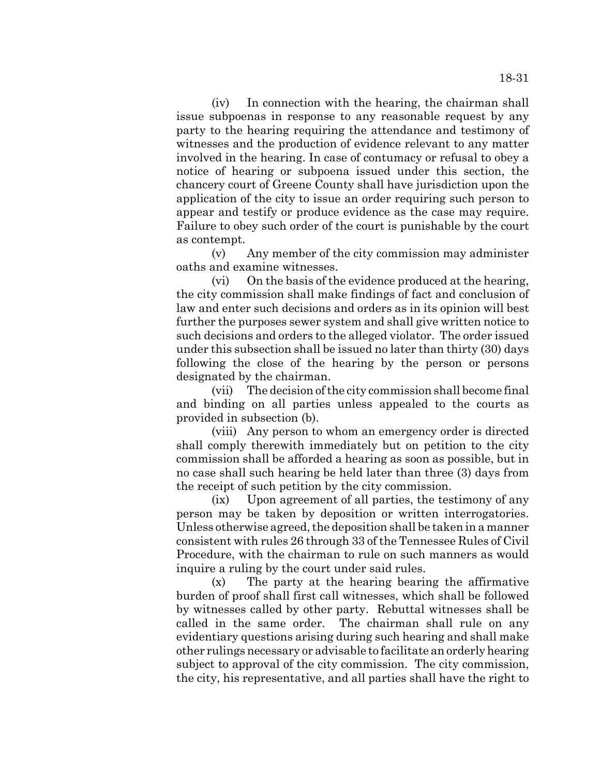(iv) In connection with the hearing, the chairman shall issue subpoenas in response to any reasonable request by any party to the hearing requiring the attendance and testimony of witnesses and the production of evidence relevant to any matter involved in the hearing. In case of contumacy or refusal to obey a notice of hearing or subpoena issued under this section, the chancery court of Greene County shall have jurisdiction upon the application of the city to issue an order requiring such person to appear and testify or produce evidence as the case may require. Failure to obey such order of the court is punishable by the court as contempt.

(v) Any member of the city commission may administer oaths and examine witnesses.

(vi) On the basis of the evidence produced at the hearing, the city commission shall make findings of fact and conclusion of law and enter such decisions and orders as in its opinion will best further the purposes sewer system and shall give written notice to such decisions and orders to the alleged violator. The order issued under this subsection shall be issued no later than thirty (30) days following the close of the hearing by the person or persons designated by the chairman.

(vii) The decision of the city commission shall become final and binding on all parties unless appealed to the courts as provided in subsection (b).

(viii) Any person to whom an emergency order is directed shall comply therewith immediately but on petition to the city commission shall be afforded a hearing as soon as possible, but in no case shall such hearing be held later than three (3) days from the receipt of such petition by the city commission.

(ix) Upon agreement of all parties, the testimony of any person may be taken by deposition or written interrogatories. Unless otherwise agreed, the deposition shall be taken in a manner consistent with rules 26 through 33 of the Tennessee Rules of Civil Procedure, with the chairman to rule on such manners as would inquire a ruling by the court under said rules.

(x) The party at the hearing bearing the affirmative burden of proof shall first call witnesses, which shall be followed by witnesses called by other party. Rebuttal witnesses shall be called in the same order. The chairman shall rule on any evidentiary questions arising during such hearing and shall make other rulings necessary or advisable to facilitate an orderly hearing subject to approval of the city commission. The city commission, the city, his representative, and all parties shall have the right to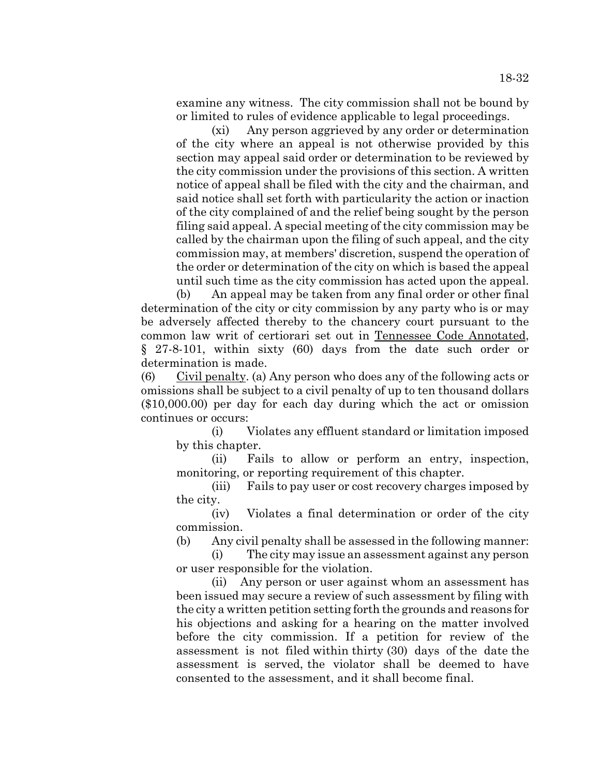(xi) Any person aggrieved by any order or determination of the city where an appeal is not otherwise provided by this section may appeal said order or determination to be reviewed by the city commission under the provisions of this section. A written notice of appeal shall be filed with the city and the chairman, and said notice shall set forth with particularity the action or inaction of the city complained of and the relief being sought by the person filing said appeal. A special meeting of the city commission may be called by the chairman upon the filing of such appeal, and the city commission may, at members' discretion, suspend the operation of the order or determination of the city on which is based the appeal until such time as the city commission has acted upon the appeal.

(b) An appeal may be taken from any final order or other final determination of the city or city commission by any party who is or may be adversely affected thereby to the chancery court pursuant to the common law writ of certiorari set out in Tennessee Code Annotated, § 27-8-101, within sixty (60) days from the date such order or determination is made.

 $(6)$  Civil penalty. (a) Any person who does any of the following acts or omissions shall be subject to a civil penalty of up to ten thousand dollars (\$10,000.00) per day for each day during which the act or omission continues or occurs:

(i) Violates any effluent standard or limitation imposed by this chapter.

(ii) Fails to allow or perform an entry, inspection, monitoring, or reporting requirement of this chapter.

(iii) Fails to pay user or cost recovery charges imposed by the city.

(iv) Violates a final determination or order of the city commission.

(b) Any civil penalty shall be assessed in the following manner:

(i) The city may issue an assessment against any person or user responsible for the violation.

(ii) Any person or user against whom an assessment has been issued may secure a review of such assessment by filing with the city a written petition setting forth the grounds and reasons for his objections and asking for a hearing on the matter involved before the city commission. If a petition for review of the assessment is not filed within thirty (30) days of the date the assessment is served, the violator shall be deemed to have consented to the assessment, and it shall become final.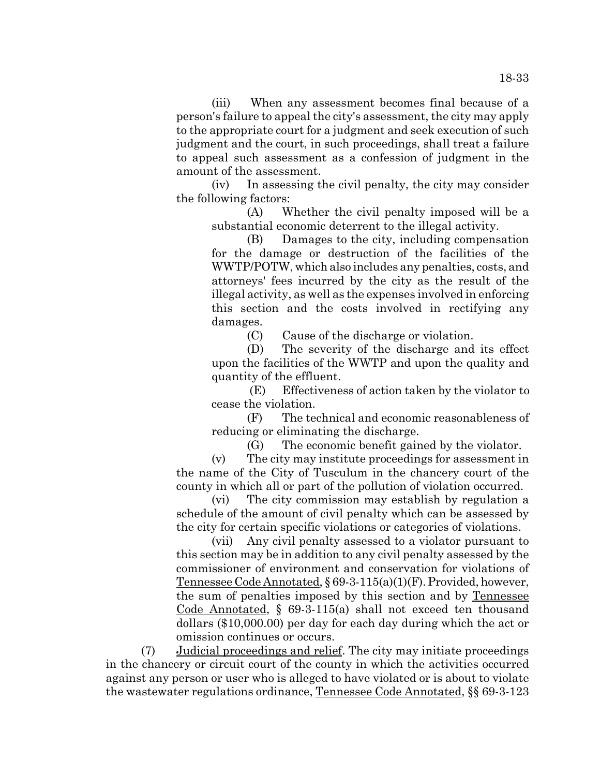(iii) When any assessment becomes final because of a person's failure to appeal the city's assessment, the city may apply to the appropriate court for a judgment and seek execution of such judgment and the court, in such proceedings, shall treat a failure to appeal such assessment as a confession of judgment in the amount of the assessment.

(iv) In assessing the civil penalty, the city may consider the following factors:

(A) Whether the civil penalty imposed will be a substantial economic deterrent to the illegal activity.

(B) Damages to the city, including compensation for the damage or destruction of the facilities of the WWTP/POTW, which also includes any penalties, costs, and attorneys' fees incurred by the city as the result of the illegal activity, as well as the expenses involved in enforcing this section and the costs involved in rectifying any damages.

(C) Cause of the discharge or violation.

(D) The severity of the discharge and its effect upon the facilities of the WWTP and upon the quality and quantity of the effluent.

 (E) Effectiveness of action taken by the violator to cease the violation.

(F) The technical and economic reasonableness of reducing or eliminating the discharge.

(G) The economic benefit gained by the violator.

(v) The city may institute proceedings for assessment in the name of the City of Tusculum in the chancery court of the county in which all or part of the pollution of violation occurred.

(vi) The city commission may establish by regulation a schedule of the amount of civil penalty which can be assessed by the city for certain specific violations or categories of violations.

(vii) Any civil penalty assessed to a violator pursuant to this section may be in addition to any civil penalty assessed by the commissioner of environment and conservation for violations of Tennessee Code Annotated, § 69-3-115(a)(1)(F). Provided, however, the sum of penalties imposed by this section and by Tennessee Code Annotated, § 69-3-115(a) shall not exceed ten thousand dollars (\$10,000.00) per day for each day during which the act or omission continues or occurs.

(7) Judicial proceedings and relief. The city may initiate proceedings in the chancery or circuit court of the county in which the activities occurred against any person or user who is alleged to have violated or is about to violate the wastewater regulations ordinance, Tennessee Code Annotated, §§ 69-3-123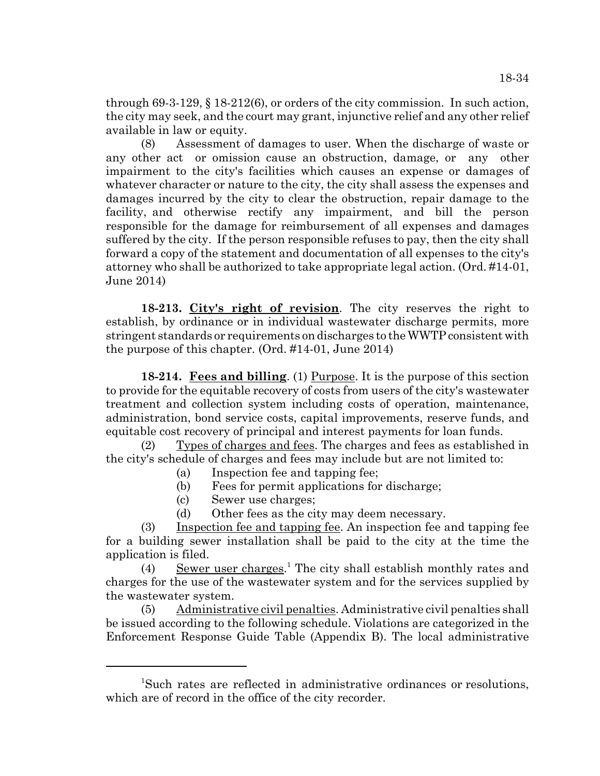through  $69-3-129$ ,  $\S$   $18-212(6)$ , or orders of the city commission. In such action, the city may seek, and the court may grant, injunctive relief and any other relief available in law or equity.

(8) Assessment of damages to user. When the discharge of waste or any other act or omission cause an obstruction, damage, or any other impairment to the city's facilities which causes an expense or damages of whatever character or nature to the city, the city shall assess the expenses and damages incurred by the city to clear the obstruction, repair damage to the facility, and otherwise rectify any impairment, and bill the person responsible for the damage for reimbursement of all expenses and damages suffered by the city. If the person responsible refuses to pay, then the city shall forward a copy of the statement and documentation of all expenses to the city's attorney who shall be authorized to take appropriate legal action. (Ord. #14-01, June 2014)

**18-213. City's right of revision**. The city reserves the right to establish, by ordinance or in individual wastewater discharge permits, more stringent standards or requirements on discharges to the WWTP consistent with the purpose of this chapter. (Ord. #14-01, June 2014)

**18-214. Fees and billing**. (1) Purpose. It is the purpose of this section to provide for the equitable recovery of costs from users of the city's wastewater treatment and collection system including costs of operation, maintenance, administration, bond service costs, capital improvements, reserve funds, and equitable cost recovery of principal and interest payments for loan funds.

(2) Types of charges and fees. The charges and fees as established in the city's schedule of charges and fees may include but are not limited to:

- (a) Inspection fee and tapping fee;
- (b) Fees for permit applications for discharge;
- (c) Sewer use charges;
- (d) Other fees as the city may deem necessary.

(3) Inspection fee and tapping fee. An inspection fee and tapping fee for a building sewer installation shall be paid to the city at the time the application is filed.

(4) Sewer user charges.<sup>1</sup> The city shall establish monthly rates and charges for the use of the wastewater system and for the services supplied by the wastewater system.

(5) Administrative civil penalties. Administrative civil penalties shall be issued according to the following schedule. Violations are categorized in the Enforcement Response Guide Table (Appendix B). The local administrative

<sup>1</sup> Such rates are reflected in administrative ordinances or resolutions, which are of record in the office of the city recorder.